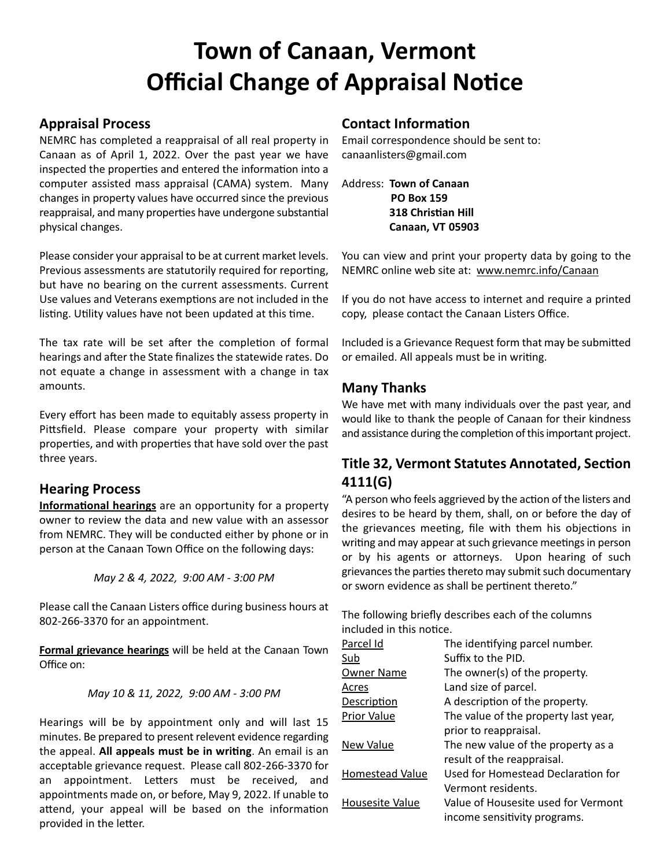# **Town of Canaan, Vermont Official Change of Appraisal Notice**

## **Appraisal Process**

NEMRC has completed a reappraisal of all real property in Canaan as of April 1, 2022. Over the past year we have inspected the properties and entered the information into a computer assisted mass appraisal (CAMA) system. Many changes in property values have occurred since the previous reappraisal, and many properties have undergone substantial physical changes.

Please consider your appraisal to be at current market levels. Previous assessments are statutorily required for reporting, but have no bearing on the current assessments. Current Use values and Veterans exemptions are not included in the listing. Utility values have not been updated at this time.

The tax rate will be set after the completion of formal hearings and after the State finalizes the statewide rates. Do not equate a change in assessment with a change in tax amounts.

Every effort has been made to equitably assess property in Pittsfield. Please compare your property with similar properties, and with properties that have sold over the past three years.

### **Hearing Process**

**Informational hearings** are an opportunity for a property owner to review the data and new value with an assessor from NEMRC. They will be conducted either by phone or in person at the Canaan Town Office on the following days:

*May 2 & 4, 2022, 9:00 AM - 3:00 PM*

Please call the Canaan Listers office during business hours at 802-266-3370 for an appointment.

**Formal grievance hearings** will be held at the Canaan Town Office on:

*May 10 & 11, 2022, 9:00 AM - 3:00 PM* 

Hearings will be by appointment only and will last 15 minutes. Be prepared to present relevent evidence regarding the appeal. **All appeals must be in writing**. An email is an acceptable grievance request. Please call 802-266-3370 for an appointment. Letters must be received, and appointments made on, or before, May 9, 2022. If unable to attend, your appeal will be based on the information provided in the letter.

# **Contact Information**

Email correspondence should be sent to: canaanlisters@gmail.com

Address: **Town of Canaan PO Box 159 318 Christian Hill Canaan, VT 05903**

You can view and print your property data by going to the NEMRC online web site at: www.nemrc.info/Canaan

If you do not have access to internet and require a printed copy, please contact the Canaan Listers Office.

Included is a Grievance Request form that may be submitted or emailed. All appeals must be in writing.

# **Many Thanks**

We have met with many individuals over the past year, and would like to thank the people of Canaan for their kindness and assistance during the completion of this important project.

# **Title 32, Vermont Statutes Annotated, Section 4111(G)**

"A person who feels aggrieved by the action of the listers and desires to be heard by them, shall, on or before the day of the grievances meeting, file with them his objections in writing and may appear at such grievance meetings in person or by his agents or attorneys. Upon hearing of such grievances the parties thereto may submit such documentary or sworn evidence as shall be pertinent thereto."

The following briefly describes each of the columns included in this notice.

| Parcel Id              | The identifying parcel number.       |
|------------------------|--------------------------------------|
| <u>Sub</u>             | Suffix to the PID.                   |
| Owner Name             | The owner(s) of the property.        |
| Acres                  | Land size of parcel.                 |
| Description            | A description of the property.       |
| Prior Value            | The value of the property last year, |
|                        | prior to reappraisal.                |
| New Value              | The new value of the property as a   |
|                        | result of the reappraisal.           |
| Homestead Value        | Used for Homestead Declaration for   |
|                        | Vermont residents.                   |
| <b>Housesite Value</b> | Value of Housesite used for Vermont  |
|                        | income sensitivity programs.         |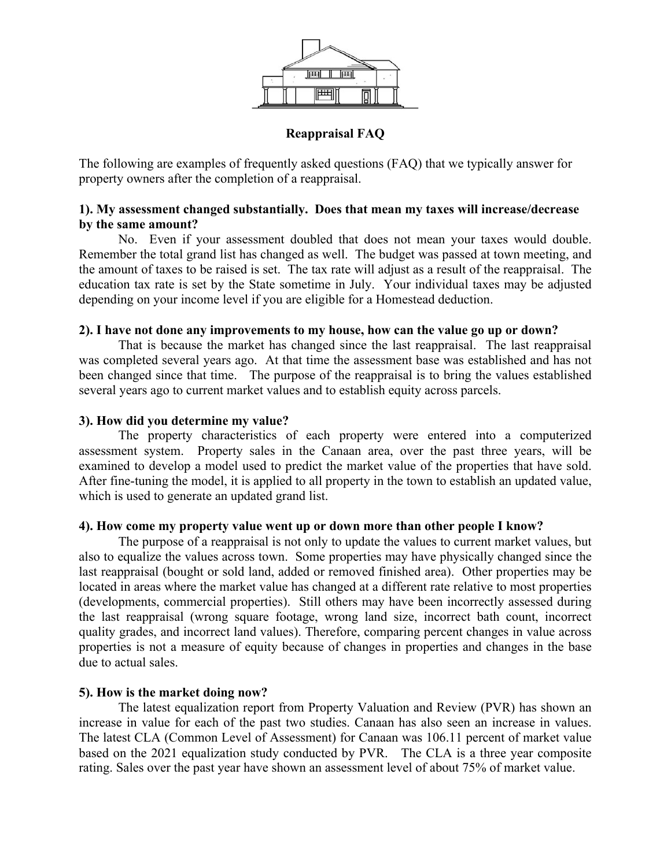

#### **Reappraisal FAQ**

The following are examples of frequently asked questions (FAQ) that we typically answer for property owners after the completion of a reappraisal.

#### **1). My assessment changed substantially. Does that mean my taxes will increase/decrease by the same amount?**

 No. Even if your assessment doubled that does not mean your taxes would double. Remember the total grand list has changed as well. The budget was passed at town meeting, and the amount of taxes to be raised is set. The tax rate will adjust as a result of the reappraisal. The education tax rate is set by the State sometime in July. Your individual taxes may be adjusted depending on your income level if you are eligible for a Homestead deduction.

#### **2). I have not done any improvements to my house, how can the value go up or down?**

 That is because the market has changed since the last reappraisal. The last reappraisal was completed several years ago. At that time the assessment base was established and has not been changed since that time. The purpose of the reappraisal is to bring the values established several years ago to current market values and to establish equity across parcels.

#### **3). How did you determine my value?**

 The property characteristics of each property were entered into a computerized assessment system. Property sales in the Canaan area, over the past three years, will be examined to develop a model used to predict the market value of the properties that have sold. After fine-tuning the model, it is applied to all property in the town to establish an updated value, which is used to generate an updated grand list.

#### **4). How come my property value went up or down more than other people I know?**

 The purpose of a reappraisal is not only to update the values to current market values, but also to equalize the values across town. Some properties may have physically changed since the last reappraisal (bought or sold land, added or removed finished area). Other properties may be located in areas where the market value has changed at a different rate relative to most properties (developments, commercial properties). Still others may have been incorrectly assessed during the last reappraisal (wrong square footage, wrong land size, incorrect bath count, incorrect quality grades, and incorrect land values). Therefore, comparing percent changes in value across properties is not a measure of equity because of changes in properties and changes in the base due to actual sales.

#### **5). How is the market doing now?**

 The latest equalization report from Property Valuation and Review (PVR) has shown an increase in value for each of the past two studies. Canaan has also seen an increase in values. The latest CLA (Common Level of Assessment) for Canaan was 106.11 percent of market value based on the 2021 equalization study conducted by PVR. The CLA is a three year composite rating. Sales over the past year have shown an assessment level of about 75% of market value.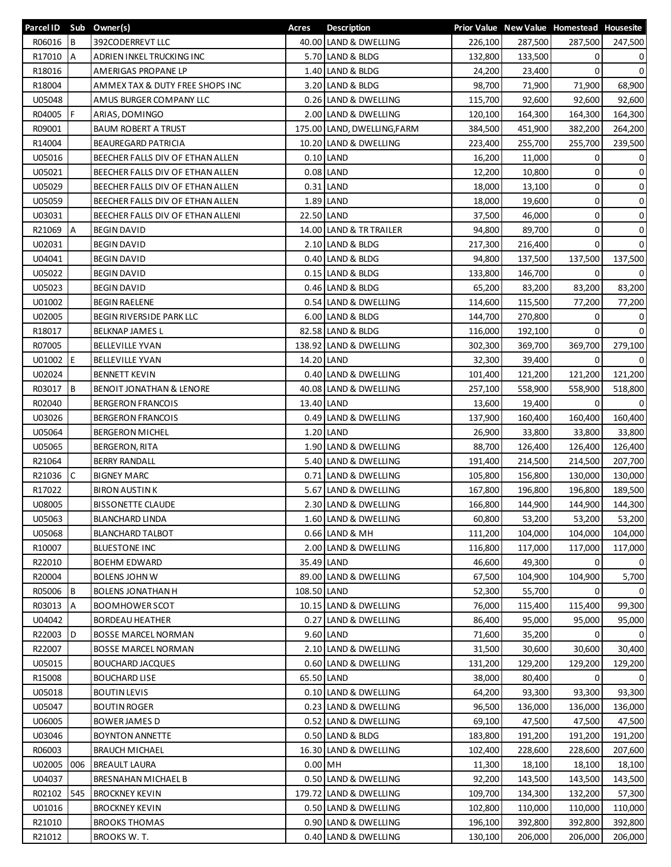| Parcel ID Sub Owner(s) |           |                                   | Acres       | <b>Description</b>                       |         |         | Prior Value New Value Homestead Housesite |                     |
|------------------------|-----------|-----------------------------------|-------------|------------------------------------------|---------|---------|-------------------------------------------|---------------------|
| R06016                 | l B       | 392CODERREVT LLC                  |             | 40.00 LAND & DWELLING                    | 226,100 | 287,500 | 287,500                                   | 247,500             |
| R17010                 | <b>IA</b> | ADRIEN INKEL TRUCKING INC         |             | 5.70 LAND & BLDG                         | 132,800 | 133,500 | 0                                         | 0                   |
| R18016                 |           | AMERIGAS PROPANE LP               |             | 1.40 LAND & BLDG                         | 24,200  | 23,400  | 0                                         | $\mathbf 0$         |
| R18004                 |           | AMMEX TAX & DUTY FREE SHOPS INC   |             | 3.20 LAND & BLDG                         | 98,700  | 71,900  | 71,900                                    | 68,900              |
| U05048                 |           | AMUS BURGER COMPANY LLC           |             | 0.26 LAND & DWELLING                     | 115,700 | 92,600  | 92,600                                    | 92,600              |
| R04005                 | F         | ARIAS, DOMINGO                    |             | 2.00 LAND & DWELLING                     | 120,100 | 164,300 | 164,300                                   | 164,300             |
| R09001                 |           | <b>BAUM ROBERT A TRUST</b>        |             | 175.00 LAND, DWELLING, FARM              | 384,500 | 451,900 | 382,200                                   | 264,200             |
| R14004                 |           | BEAUREGARD PATRICIA               |             | 10.20 LAND & DWELLING                    | 223,400 | 255,700 | 255,700                                   | 239,500             |
| U05016                 |           | BEECHER FALLS DIV OF ETHAN ALLEN  |             | $0.10$ LAND                              | 16,200  | 11,000  | $\Omega$                                  | 0                   |
| U05021                 |           | BEECHER FALLS DIV OF ETHAN ALLEN  |             | $0.08$ LAND                              | 12,200  | 10,800  | 0                                         | $\mathsf{O}\xspace$ |
| U05029                 |           | BEECHER FALLS DIV OF ETHAN ALLEN  |             | 0.31 LAND                                | 18,000  | 13,100  | $\mathbf 0$                               | 0                   |
| U05059                 |           | BEECHER FALLS DIV OF ETHAN ALLEN  |             | 1.89 LAND                                | 18,000  | 19,600  | 0                                         | 0                   |
| U03031                 |           | BEECHER FALLS DIV OF ETHAN ALLENI |             | 22.50 LAND                               | 37,500  | 46,000  | 0                                         | 0                   |
| R21069                 | Α         | <b>BEGIN DAVID</b>                |             | 14.00 LAND & TR TRAILER                  | 94,800  | 89,700  | 0                                         | 0                   |
| U02031                 |           | <b>BEGIN DAVID</b>                |             | 2.10 LAND & BLDG                         | 217,300 | 216,400 | $\Omega$                                  | $\mathbf 0$         |
| U04041                 |           | <b>BEGIN DAVID</b>                |             | 0.40 LAND & BLDG                         | 94,800  | 137,500 | 137,500                                   | 137,500             |
| U05022                 |           | <b>BEGIN DAVID</b>                |             | 0.15 LAND & BLDG                         | 133,800 | 146,700 | 0                                         | 0                   |
| U05023                 |           | <b>BEGIN DAVID</b>                |             | 0.46 LAND & BLDG                         | 65,200  | 83,200  | 83,200                                    | 83,200              |
| U01002                 |           | <b>BEGIN RAELENE</b>              |             | 0.54 LAND & DWELLING                     | 114,600 | 115,500 | 77,200                                    | 77,200              |
| U02005                 |           | BEGIN RIVERSIDE PARK LLC          |             | 6.00 LAND & BLDG                         | 144,700 | 270,800 | 0                                         | 0                   |
| R18017                 |           | <b>BELKNAP JAMES L</b>            |             | 82.58 LAND & BLDG                        | 116,000 | 192,100 | $\mathbf{0}$                              | $\mathbf 0$         |
| R07005                 |           | <b>BELLEVILLE YVAN</b>            |             | 138.92 LAND & DWELLING                   | 302,300 | 369,700 | 369,700                                   | 279,100             |
| U01002 E               |           | <b>BELLEVILLE YVAN</b>            | 14.20 LAND  |                                          | 32,300  | 39,400  | $\mathbf 0$                               | $\overline{0}$      |
| U02024                 |           | <b>BENNETT KEVIN</b>              |             | 0.40 LAND & DWELLING                     | 101,400 | 121,200 | 121,200                                   | 121,200             |
| R03017                 | B         | BENOIT JONATHAN & LENORE          |             | 40.08 LAND & DWELLING                    | 257,100 | 558,900 | 558,900                                   | 518,800             |
| R02040                 |           | <b>BERGERON FRANCOIS</b>          |             | 13.40 LAND                               | 13,600  | 19,400  | 0                                         | 0                   |
| U03026                 |           | <b>BERGERON FRANCOIS</b>          |             | 0.49 LAND & DWELLING                     | 137,900 | 160,400 | 160,400                                   | 160,400             |
| U05064                 |           | <b>BERGERON MICHEL</b>            |             | 1.20 LAND                                | 26,900  | 33,800  | 33,800                                    | 33,800              |
| U05065                 |           | <b>BERGERON, RITA</b>             |             | 1.90 LAND & DWELLING                     | 88,700  | 126,400 | 126,400                                   | 126,400             |
| R21064                 |           | <b>BERRY RANDALL</b>              |             | 5.40 LAND & DWELLING                     | 191,400 | 214,500 | 214,500                                   | 207,700             |
| R21036                 | C         | <b>BIGNEY MARC</b>                |             | 0.71 LAND & DWELLING                     | 105,800 | 156,800 |                                           |                     |
| R17022                 |           | <b>BIRON AUSTINK</b>              |             | LAND & DWELLING                          |         |         | 130,000                                   | 130,000             |
| U08005                 |           | <b>BISSONETTE CLAUDE</b>          | 5.67        | 2.30 LAND & DWELLING                     | 167,800 | 196,800 | 196,800                                   | 189,500             |
|                        |           |                                   |             |                                          | 166,800 | 144,900 | 144,900                                   | 144,300             |
| U05063                 |           | <b>BLANCHARD LINDA</b>            |             | 1.60 LAND & DWELLING<br>$0.66$ LAND & MH | 60,800  | 53,200  | 53,200                                    | 53,200              |
| U05068                 |           | <b>BLANCHARD TALBOT</b>           |             |                                          | 111,200 | 104,000 | 104,000                                   | 104,000             |
| R10007                 |           | <b>BLUESTONE INC</b>              |             | 2.00 LAND & DWELLING                     | 116,800 | 117,000 | 117,000                                   | 117,000             |
| R22010                 |           | <b>BOEHM EDWARD</b>               |             | 35.49 LAND                               | 46,600  | 49,300  | 0                                         | $\overline{0}$      |
| R20004                 |           | <b>BOLENS JOHN W</b>              |             | 89.00 LAND & DWELLING                    | 67,500  | 104,900 | 104,900                                   | 5,700               |
| R05006                 | B         | <b>BOLENS JONATHAN H</b>          | 108.50 LAND |                                          | 52,300  | 55,700  | 0                                         | $\Omega$            |
| R03013                 | A         | <b>BOOMHOWER SCOT</b>             |             | 10.15 LAND & DWELLING                    | 76,000  | 115,400 | 115,400                                   | 99,300              |
| U04042                 |           | <b>BORDEAU HEATHER</b>            |             | 0.27 LAND & DWELLING                     | 86,400  | 95,000  | 95,000                                    | 95,000              |
| R22003                 | D         | BOSSE MARCEL NORMAN               |             | 9.60 LAND                                | 71,600  | 35,200  | 0                                         | $\mathbf{0}$        |
| R22007                 |           | <b>BOSSE MARCEL NORMAN</b>        |             | 2.10 LAND & DWELLING                     | 31,500  | 30,600  | 30,600                                    | 30,400              |
| U05015                 |           | <b>BOUCHARD JACQUES</b>           |             | 0.60 LAND & DWELLING                     | 131,200 | 129,200 | 129,200                                   | 129,200             |
| R15008                 |           | <b>BOUCHARD LISE</b>              |             | 65.50 LAND                               | 38,000  | 80,400  | $\Omega$                                  | $\Omega$            |
| U05018                 |           | <b>BOUTIN LEVIS</b>               |             | 0.10 LAND & DWELLING                     | 64,200  | 93,300  | 93,300                                    | 93,300              |
| U05047                 |           | <b>BOUTIN ROGER</b>               |             | 0.23 LAND & DWELLING                     | 96,500  | 136,000 | 136,000                                   | 136,000             |
| U06005                 |           | <b>BOWER JAMES D</b>              |             | 0.52 LAND & DWELLING                     | 69,100  | 47,500  | 47,500                                    | 47,500              |
| U03046                 |           | <b>BOYNTON ANNETTE</b>            |             | 0.50 LAND & BLDG                         | 183,800 | 191,200 | 191,200                                   | 191,200             |
| R06003                 |           | <b>BRAUCH MICHAEL</b>             |             | 16.30 LAND & DWELLING                    | 102,400 | 228,600 | 228,600                                   | 207,600             |
| U02005                 | 006       | <b>BREAULT LAURA</b>              | $0.00$ MH   |                                          | 11,300  | 18,100  | 18,100                                    | 18,100              |
| U04037                 |           | BRESNAHAN MICHAEL B               |             | 0.50 LAND & DWELLING                     | 92,200  | 143,500 | 143,500                                   | 143,500             |
| R02102                 | 545       | <b>BROCKNEY KEVIN</b>             |             | 179.72 LAND & DWELLING                   | 109,700 | 134,300 | 132,200                                   | 57,300              |
| U01016                 |           | <b>BROCKNEY KEVIN</b>             |             | 0.50 LAND & DWELLING                     | 102,800 | 110,000 | 110,000                                   | 110,000             |
| R21010                 |           | <b>BROOKS THOMAS</b>              |             | 0.90 LAND & DWELLING                     | 196,100 | 392,800 | 392,800                                   | 392,800             |
| R21012                 |           | BROOKS W.T.                       |             | 0.40 LAND & DWELLING                     | 130,100 | 206,000 | 206,000                                   | 206,000             |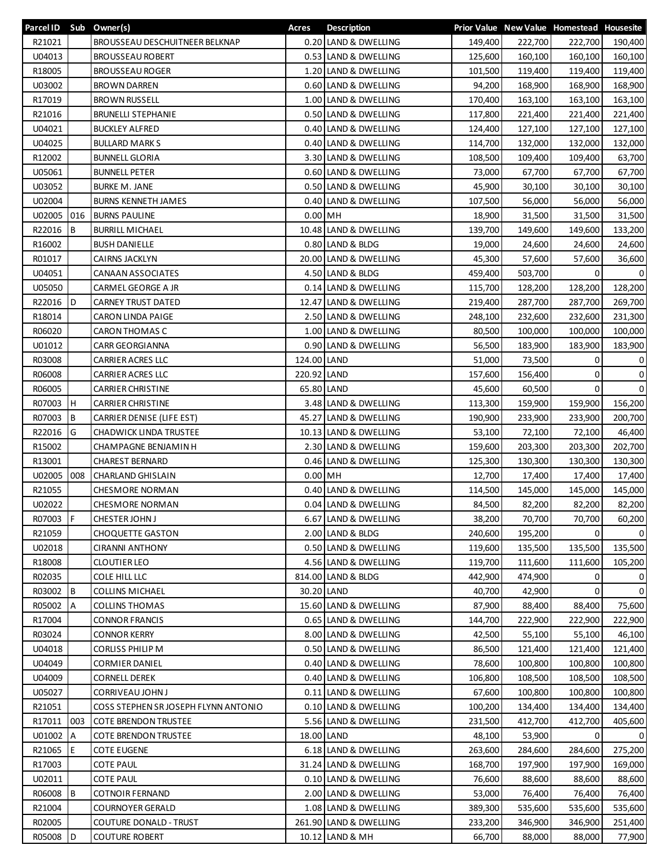| Parcel ID Sub Owner(s) |     |                                                | Acres       | <b>Description</b>     |         |         | Prior Value New Value Homestead Housesite |                |
|------------------------|-----|------------------------------------------------|-------------|------------------------|---------|---------|-------------------------------------------|----------------|
| R21021                 |     | BROUSSEAU DESCHUITNEER BELKNAP                 |             | 0.20 LAND & DWELLING   | 149,400 | 222,700 | 222,700                                   | 190,400        |
| U04013                 |     | <b>BROUSSEAU ROBERT</b>                        |             | 0.53 LAND & DWELLING   | 125,600 | 160,100 | 160,100                                   | 160,100        |
| R18005                 |     | <b>BROUSSEAU ROGER</b>                         |             | 1.20 LAND & DWELLING   | 101,500 | 119,400 | 119,400                                   | 119,400        |
| U03002                 |     | <b>BROWN DARREN</b>                            |             | 0.60 LAND & DWELLING   | 94,200  | 168,900 | 168,900                                   | 168,900        |
| R17019                 |     | <b>BROWN RUSSELL</b>                           |             | 1.00 LAND & DWELLING   | 170,400 | 163,100 | 163,100                                   | 163,100        |
| R21016                 |     | <b>BRUNELLI STEPHANIE</b>                      |             | 0.50 LAND & DWELLING   | 117,800 | 221,400 | 221,400                                   | 221,400        |
| U04021                 |     | <b>BUCKLEY ALFRED</b>                          |             | 0.40 LAND & DWELLING   | 124,400 | 127,100 | 127,100                                   | 127,100        |
| U04025                 |     | <b>BULLARD MARKS</b>                           |             | 0.40 LAND & DWELLING   | 114,700 | 132,000 | 132,000                                   | 132,000        |
| R12002                 |     | <b>BUNNELL GLORIA</b>                          |             | 3.30 LAND & DWELLING   | 108,500 | 109,400 | 109,400                                   | 63,700         |
| U05061                 |     | <b>BUNNELL PETER</b>                           |             | 0.60 LAND & DWELLING   | 73,000  | 67,700  | 67,700                                    | 67,700         |
| U03052                 |     | <b>BURKE M. JANE</b>                           |             | 0.50 LAND & DWELLING   | 45,900  | 30,100  | 30,100                                    | 30,100         |
| U02004                 |     | <b>BURNS KENNETH JAMES</b>                     |             | 0.40 LAND & DWELLING   | 107,500 | 56,000  | 56,000                                    | 56,000         |
|                        | 016 |                                                | $0.00$ MH   |                        |         |         |                                           |                |
| U02005                 |     | <b>BURNS PAULINE</b><br><b>BURRILL MICHAEL</b> |             |                        | 18,900  | 31,500  | 31,500                                    | 31,500         |
| R22016                 | B   |                                                |             | 10.48 LAND & DWELLING  | 139,700 | 149,600 | 149,600                                   | 133,200        |
| R16002                 |     | <b>BUSH DANIELLE</b>                           |             | 0.80 LAND & BLDG       | 19,000  | 24,600  | 24,600                                    | 24,600         |
| R01017                 |     | CAIRNS JACKLYN                                 |             | 20.00 LAND & DWELLING  | 45,300  | 57,600  | 57,600                                    | 36,600         |
| U04051                 |     | <b>CANAAN ASSOCIATES</b>                       |             | 4.50 LAND & BLDG       | 459,400 | 503,700 | 0                                         | 0              |
| U05050                 |     | CARMEL GEORGE A JR                             |             | 0.14 LAND & DWELLING   | 115,700 | 128,200 | 128,200                                   | 128,200        |
| R22016                 | ID. | <b>CARNEY TRUST DATED</b>                      |             | 12.47 LAND & DWELLING  | 219,400 | 287,700 | 287,700                                   | 269,700        |
| R18014                 |     | <b>CARON LINDA PAIGE</b>                       |             | 2.50 LAND & DWELLING   | 248,100 | 232,600 | 232,600                                   | 231,300        |
| R06020                 |     | <b>CARON THOMAS C</b>                          |             | 1.00 LAND & DWELLING   | 80,500  | 100,000 | 100,000                                   | 100,000        |
| U01012                 |     | CARR GEORGIANNA                                |             | 0.90 LAND & DWELLING   | 56,500  | 183,900 | 183,900                                   | 183,900        |
| R03008                 |     | CARRIER ACRES LLC                              | 124.00 LAND |                        | 51,000  | 73,500  | 0                                         | 0              |
| R06008                 |     | CARRIER ACRES LLC                              | 220.92 LAND |                        | 157,600 | 156,400 | 0                                         | $\mathbf 0$    |
| R06005                 |     | <b>CARRIER CHRISTINE</b>                       |             | 65.80 LAND             | 45,600  | 60,500  | $\Omega$                                  | $\mathbf 0$    |
| R07003                 | н   | <b>CARRIER CHRISTINE</b>                       |             | 3.48 LAND & DWELLING   | 113,300 | 159,900 | 159,900                                   | 156,200        |
| R07003                 | B   | CARRIER DENISE (LIFE EST)                      |             | 45.27 LAND & DWELLING  | 190,900 | 233,900 | 233,900                                   | 200,700        |
| R22016                 | G   | <b>CHADWICK LINDA TRUSTEE</b>                  |             | 10.13 LAND & DWELLING  | 53,100  | 72,100  | 72,100                                    | 46,400         |
| R15002                 |     | CHAMPAGNE BENJAMIN H                           |             | 2.30 LAND & DWELLING   | 159,600 | 203,300 | 203,300                                   | 202,700        |
| R13001                 |     | <b>CHAREST BERNARD</b>                         |             | 0.46 LAND & DWELLING   | 125,300 | 130,300 | 130,300                                   | 130,300        |
| U02005                 | 008 | <b>CHARLAND GHISLAIN</b>                       | $0.00$ MH   |                        | 12,700  | 17,400  | 17,400                                    | 17,400         |
| R21055                 |     | <b>CHESMORE NORMAN</b>                         |             | 0.40 LAND & DWELLING   | 114,500 | 145,000 | 145,000                                   | 145,000        |
| U02022                 |     | <b>CHESMORE NORMAN</b>                         |             | 0.04 LAND & DWELLING   | 84,500  | 82,200  | 82,200                                    | 82,200         |
| R07003 F               |     | <b>CHESTER JOHN J</b>                          |             | 6.67 LAND & DWELLING   | 38,200  | 70,700  | 70,700                                    | 60,200         |
| R21059                 |     | <b>CHOQUETTE GASTON</b>                        |             | 2.00 LAND & BLDG       | 240,600 | 195,200 | 0                                         | $\Omega$       |
| U02018                 |     | <b>CIRANNI ANTHONY</b>                         |             | 0.50 LAND & DWELLING   | 119,600 | 135,500 | 135,500                                   | 135,500        |
| R18008                 |     | <b>CLOUTIER LEO</b>                            |             | 4.56 LAND & DWELLING   | 119,700 | 111,600 | 111,600                                   | 105,200        |
| R02035                 |     | COLE HILL LLC                                  |             | 814.00 LAND & BLDG     | 442,900 | 474,900 | 0                                         | 0              |
|                        |     |                                                |             |                        |         |         | $\Omega$                                  |                |
| R03002                 | B   | <b>COLLINS MICHAEL</b>                         |             | 30.20 LAND             | 40,700  | 42,900  |                                           | $\overline{0}$ |
| R05002                 | A   | <b>COLLINS THOMAS</b>                          |             | 15.60 LAND & DWELLING  | 87,900  | 88,400  | 88,400                                    | 75,600         |
| R17004                 |     | <b>CONNOR FRANCIS</b>                          |             | 0.65 LAND & DWELLING   | 144,700 | 222,900 | 222,900                                   | 222,900        |
| R03024                 |     | CONNOR KERRY                                   |             | 8.00 LAND & DWELLING   | 42,500  | 55,100  | 55,100                                    | 46,100         |
| U04018                 |     | <b>CORLISS PHILIP M</b>                        |             | 0.50 LAND & DWELLING   | 86,500  | 121,400 | 121,400                                   | 121,400        |
| U04049                 |     | <b>CORMIER DANIEL</b>                          |             | 0.40 LAND & DWELLING   | 78,600  | 100,800 | 100,800                                   | 100,800        |
| U04009                 |     | <b>CORNELL DEREK</b>                           |             | 0.40 LAND & DWELLING   | 106,800 | 108,500 | 108,500                                   | 108,500        |
| U05027                 |     | CORRIVEAU JOHN J                               |             | 0.11 LAND & DWELLING   | 67,600  | 100,800 | 100,800                                   | 100,800        |
| R21051                 |     | COSS STEPHEN SR JOSEPH FLYNN ANTONIO           |             | 0.10 LAND & DWELLING   | 100,200 | 134,400 | 134,400                                   | 134,400        |
| R17011                 | 003 | <b>COTE BRENDON TRUSTEE</b>                    |             | 5.56 LAND & DWELLING   | 231,500 | 412,700 | 412,700                                   | 405,600        |
| U01002                 | A   | <b>COTE BRENDON TRUSTEE</b>                    |             | 18.00 LAND             | 48,100  | 53,900  | $\mathbf 0$                               | $\overline{0}$ |
| R21065                 | Е   | <b>COTE EUGENE</b>                             |             | 6.18 LAND & DWELLING   | 263,600 | 284,600 | 284,600                                   | 275,200        |
| R17003                 |     | <b>COTE PAUL</b>                               |             | 31.24 LAND & DWELLING  | 168,700 | 197,900 | 197,900                                   | 169,000        |
| U02011                 |     | <b>COTE PAUL</b>                               |             | 0.10 LAND & DWELLING   | 76,600  | 88,600  | 88,600                                    | 88,600         |
| R06008                 | B   | COTNOIR FERNAND                                |             | 2.00 LAND & DWELLING   | 53,000  | 76,400  | 76,400                                    | 76,400         |
| R21004                 |     | <b>COURNOYER GERALD</b>                        |             | 1.08 LAND & DWELLING   | 389,300 | 535,600 | 535,600                                   | 535,600        |
| R02005                 |     | <b>COUTURE DONALD - TRUST</b>                  |             | 261.90 LAND & DWELLING | 233,200 | 346,900 | 346,900                                   | 251,400        |
| R05008                 | D   | <b>COUTURE ROBERT</b>                          |             | 10.12 LAND & MH        | 66,700  | 88,000  | 88,000                                    | 77,900         |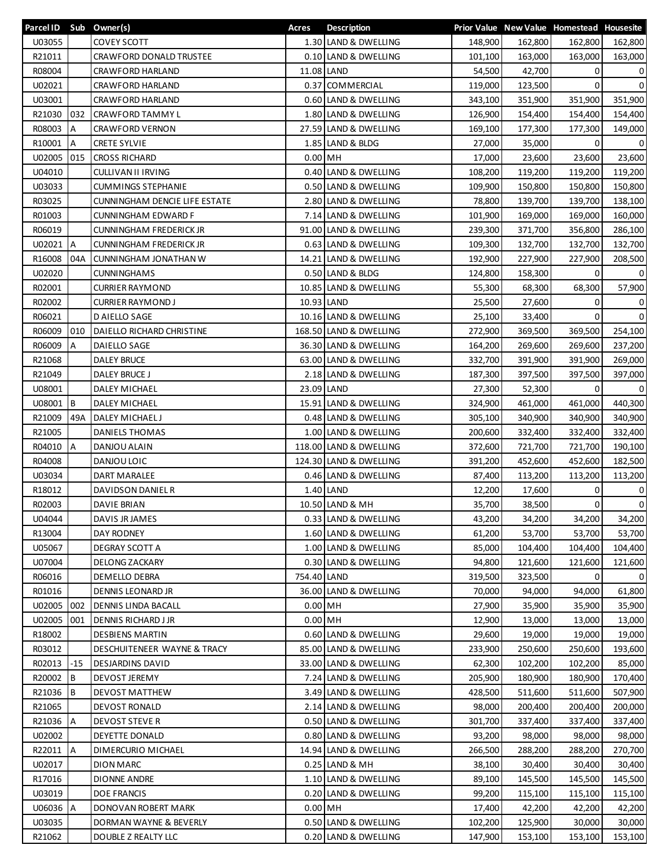| Parcel ID Sub Owner(s) |       |                                   | Acres       | <b>Description</b>     |                    |                    | Prior Value New Value Homestead Housesite |                |
|------------------------|-------|-----------------------------------|-------------|------------------------|--------------------|--------------------|-------------------------------------------|----------------|
| U03055                 |       | <b>COVEY SCOTT</b>                |             | 1.30 LAND & DWELLING   | 148,900            | 162,800            | 162,800                                   | 162,800        |
| R21011                 |       | CRAWFORD DONALD TRUSTEE           |             | 0.10 LAND & DWELLING   | 101,100            | 163,000            | 163,000                                   | 163,000        |
| R08004                 |       | <b>CRAWFORD HARLAND</b>           |             | 11.08 LAND             | 54,500             | 42,700             | 0                                         | 0              |
| U02021                 |       | <b>CRAWFORD HARLAND</b>           |             | 0.37 COMMERCIAL        | 119,000            | 123,500            | $\Omega$                                  | $\mathbf 0$    |
| U03001                 |       | CRAWFORD HARLAND                  |             | 0.60 LAND & DWELLING   | 343,100            | 351,900            | 351,900                                   | 351,900        |
| R21030                 | 032   | CRAWFORD TAMMY L                  |             | 1.80 LAND & DWELLING   | 126,900            | 154,400            | 154,400                                   | 154,400        |
| R08003                 | A     | CRAWFORD VERNON                   |             | 27.59 LAND & DWELLING  | 169,100            | 177,300            | 177,300                                   | 149,000        |
| R10001                 | А     | <b>CRETE SYLVIE</b>               |             | 1.85 LAND & BLDG       | 27,000             | 35,000             | 0                                         | 0              |
| U02005                 | 015   | <b>CROSS RICHARD</b>              | $0.00$ MH   |                        | 17,000             | 23,600             | 23,600                                    | 23,600         |
| U04010                 |       | CULLIVAN II IRVING                |             | 0.40 LAND & DWELLING   | 108,200            | 119,200            | 119,200                                   | 119,200        |
| U03033                 |       | <b>CUMMINGS STEPHANIE</b>         |             | 0.50 LAND & DWELLING   | 109,900            | 150,800            | 150,800                                   | 150,800        |
| R03025                 |       | CUNNINGHAM DENCIE LIFE ESTATE     |             | 2.80 LAND & DWELLING   | 78,800             | 139,700            | 139,700                                   | 138,100        |
| R01003                 |       | <b>CUNNINGHAM EDWARD F</b>        |             | 7.14 LAND & DWELLING   | 101,900            | 169,000            | 169,000                                   | 160,000        |
| R06019                 |       | <b>CUNNINGHAM FREDERICK JR</b>    |             | 91.00 LAND & DWELLING  | 239,300            | 371,700            | 356,800                                   | 286,100        |
| U02021 A               |       | <b>CUNNINGHAM FREDERICK JR</b>    |             | 0.63 LAND & DWELLING   | 109,300            | 132,700            | 132,700                                   | 132,700        |
| R16008                 | 04A   | CUNNINGHAM JONATHAN W             |             | 14.21 LAND & DWELLING  | 192,900            | 227,900            | 227,900                                   | 208,500        |
| U02020                 |       | <b>CUNNINGHAMS</b>                |             | 0.50 LAND & BLDG       | 124,800            | 158,300            | 0                                         | 0              |
| R02001                 |       | <b>CURRIER RAYMOND</b>            |             | 10.85 LAND & DWELLING  | 55,300             | 68,300             | 68,300                                    | 57,900         |
| R02002                 |       | <b>CURRIER RAYMOND J</b>          | 10.93 LAND  |                        | 25,500             | 27,600             | 0                                         | 0              |
| R06021                 |       | D AIELLO SAGE                     |             | 10.16 LAND & DWELLING  | 25,100             | 33,400             | $\Omega$                                  | $\mathbf 0$    |
| R06009                 | 010   | DAIELLO RICHARD CHRISTINE         |             | 168.50 LAND & DWELLING | 272,900            | 369,500            | 369,500                                   | 254,100        |
| R06009                 | A     | DAIELLO SAGE                      |             | 36.30 LAND & DWELLING  | 164,200            | 269,600            | 269,600                                   | 237,200        |
| R21068                 |       | <b>DALEY BRUCE</b>                |             | 63.00 LAND & DWELLING  | 332,700            | 391,900            | 391,900                                   | 269,000        |
| R21049                 |       | DALEY BRUCE J                     |             | 2.18 LAND & DWELLING   | 187,300            | 397,500            | 397,500                                   | 397,000        |
| U08001                 |       | DALEY MICHAEL                     |             | 23.09 LAND             | 27,300             | 52,300             | 0                                         | 0              |
| U08001                 | B     | DALEY MICHAEL                     |             | 15.91 LAND & DWELLING  | 324,900            | 461,000            | 461,000                                   | 440,300        |
| R21009                 | 49A   |                                   |             | 0.48 LAND & DWELLING   |                    |                    |                                           |                |
| R21005                 |       | DALEY MICHAEL J<br>DANIELS THOMAS |             | 1.00 LAND & DWELLING   | 305,100<br>200,600 | 340,900<br>332,400 | 340,900<br>332,400                        | 340,900        |
| R04010                 | A     | DANJOU ALAIN                      |             | 118.00 LAND & DWELLING | 372,600            | 721,700            | 721,700                                   | 332,400        |
|                        |       | DANJOU LOIC                       |             |                        |                    |                    |                                           | 190,100        |
| R04008<br>U03034       |       |                                   |             | 124.30 LAND & DWELLING | 391,200            | 452,600            | 452,600                                   | 182,500        |
|                        |       | DART MARALEE                      |             | 0.46 LAND & DWELLING   | 87,400             | 113,200            | 113,200                                   | 113,200        |
| R18012                 |       | DAVIDSON DANIEL R                 |             | 1.40 LAND              | 12,200             | 17,600             | 0                                         | 0              |
| R02003                 |       | DAVIE BRIAN                       |             | 10.50 LAND & MH        | 35,700             | 38,500             | 0                                         | $\mathbf 0$    |
| U04044                 |       | DAVIS JR JAMES                    |             | 0.33 LAND & DWELLING   | 43,200             | 34,200             | 34,200                                    | 34,200         |
| R13004                 |       | DAY RODNEY                        |             | 1.60 LAND & DWELLING   | 61,200             | 53,700             | 53,700                                    | 53,700         |
| U05067                 |       | DEGRAY SCOTT A                    |             | 1.00 LAND & DWELLING   | 85,000             | 104,400            | 104,400                                   | 104,400        |
| U07004                 |       | DELONG ZACKARY                    |             | 0.30 LAND & DWELLING   | 94,800             | 121,600            | 121,600                                   | 121,600        |
| R06016                 |       | DEMELLO DEBRA                     | 754.40 LAND |                        | 319,500            | 323,500            | 0                                         | $\overline{0}$ |
| R01016                 |       | DENNIS LEONARD JR                 |             | 36.00 LAND & DWELLING  | 70,000             | 94,000             | 94,000                                    | 61,800         |
| U02005                 | 002   | DENNIS LINDA BACALL               | $0.00$ MH   |                        | 27,900             | 35,900             | 35,900                                    | 35,900         |
| U02005                 | 001   | <b>DENNIS RICHARD J JR</b>        | $0.00$ MH   |                        | 12,900             | 13,000             | 13,000                                    | 13,000         |
| R18002                 |       | <b>DESBIENS MARTIN</b>            |             | 0.60 LAND & DWELLING   | 29,600             | 19,000             | 19,000                                    | 19,000         |
| R03012                 |       | DESCHUITENEER WAYNE & TRACY       |             | 85.00 LAND & DWELLING  | 233,900            | 250,600            | 250,600                                   | 193,600        |
| R02013                 | $-15$ | <b>DESJARDINS DAVID</b>           |             | 33.00 LAND & DWELLING  | 62,300             | 102,200            | 102,200                                   | 85,000         |
| R20002                 | B     | <b>DEVOST JEREMY</b>              |             | 7.24 LAND & DWELLING   | 205,900            | 180,900            | 180,900                                   | 170,400        |
| R21036                 | В     | <b>DEVOST MATTHEW</b>             |             | 3.49 LAND & DWELLING   | 428,500            | 511,600            | 511,600                                   | 507,900        |
| R21065                 |       | DEVOST RONALD                     |             | 2.14 LAND & DWELLING   | 98,000             | 200,400            | 200,400                                   | 200,000        |
| R21036                 | IΑ    | <b>DEVOST STEVE R</b>             |             | 0.50 LAND & DWELLING   | 301,700            | 337,400            | 337,400                                   | 337,400        |
| U02002                 |       | DEYETTE DONALD                    |             | 0.80 LAND & DWELLING   | 93,200             | 98,000             | 98,000                                    | 98,000         |
| R22011                 | A     | DIMERCURIO MICHAEL                |             | 14.94 LAND & DWELLING  | 266,500            | 288,200            | 288,200                                   | 270,700        |
| U02017                 |       | <b>DION MARC</b>                  |             | 0.25 LAND & MH         | 38,100             | 30,400             | 30,400                                    | 30,400         |
| R17016                 |       | DIONNE ANDRE                      |             | 1.10 LAND & DWELLING   | 89,100             | 145,500            | 145,500                                   | 145,500        |
| U03019                 |       | <b>DOE FRANCIS</b>                |             | 0.20 LAND & DWELLING   | 99,200             | 115,100            | 115,100                                   | 115,100        |
| U06036 A               |       | DONOVAN ROBERT MARK               | $0.00$ MH   |                        | 17,400             | 42,200             | 42,200                                    | 42,200         |
| U03035                 |       | DORMAN WAYNE & BEVERLY            |             | 0.50 LAND & DWELLING   | 102,200            | 125,900            | 30,000                                    | 30,000         |
| R21062                 |       | DOUBLE Z REALTY LLC               |             | 0.20 LAND & DWELLING   | 147,900            | 153,100            | 153,100                                   | 153,100        |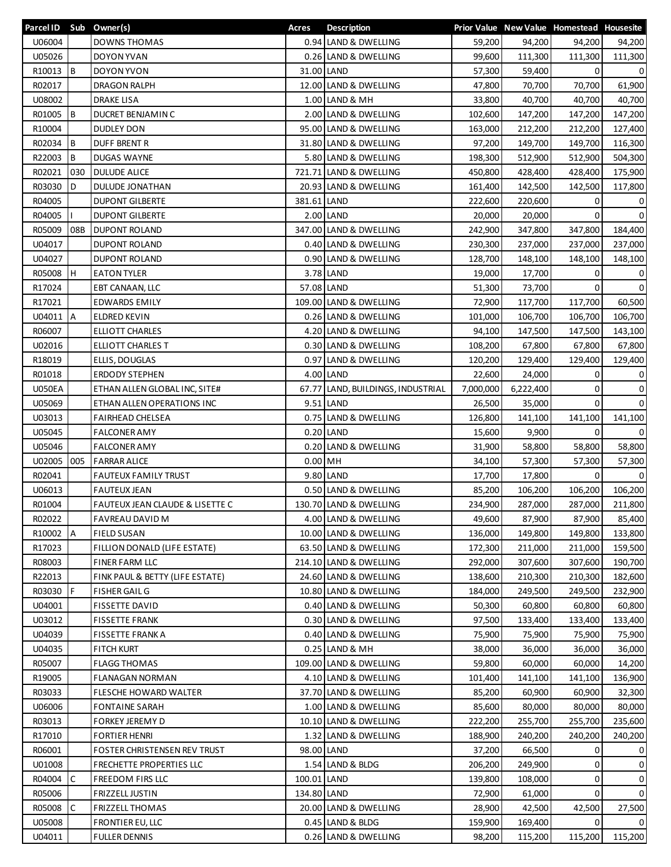| Parcel ID Sub Owner(s) |     |                                            | Acres       | <b>Description</b>                |           |           | Prior Value New Value Homestead Housesite |                |
|------------------------|-----|--------------------------------------------|-------------|-----------------------------------|-----------|-----------|-------------------------------------------|----------------|
| U06004                 |     | <b>DOWNS THOMAS</b>                        |             | 0.94 LAND & DWELLING              | 59,200    | 94,200    | 94,200                                    | 94,200         |
| U05026                 |     | DOYON YVAN                                 |             | 0.26 LAND & DWELLING              | 99,600    | 111,300   | 111,300                                   | 111,300        |
| R10013                 | l B | DOYON YVON                                 |             | 31.00 LAND                        | 57,300    | 59,400    | 0                                         | 0              |
| R02017                 |     | DRAGON RALPH                               |             | 12.00 LAND & DWELLING             | 47,800    | 70,700    | 70,700                                    | 61,900         |
| U08002                 |     | <b>DRAKE LISA</b>                          |             | 1.00 LAND & MH                    | 33,800    | 40,700    | 40,700                                    | 40,700         |
| R01005                 | B   | DUCRET BENJAMIN C                          |             | 2.00 LAND & DWELLING              | 102,600   | 147,200   | 147,200                                   | 147,200        |
| R10004                 |     | <b>DUDLEY DON</b>                          |             | 95.00 LAND & DWELLING             | 163,000   | 212,200   | 212,200                                   | 127,400        |
| R02034                 | B   | <b>DUFF BRENT R</b>                        |             | 31.80 LAND & DWELLING             | 97,200    | 149,700   | 149,700                                   | 116,300        |
| R22003                 | B   | <b>DUGAS WAYNE</b>                         |             | 5.80 LAND & DWELLING              | 198,300   | 512,900   | 512,900                                   | 504,300        |
| R02021                 | 030 | <b>DULUDE ALICE</b>                        |             | 721.71 LAND & DWELLING            | 450,800   | 428,400   | 428,400                                   | 175,900        |
| R03030                 | D   | <b>DULUDE JONATHAN</b>                     |             | 20.93 LAND & DWELLING             | 161,400   | 142,500   | 142,500                                   | 117,800        |
| R04005                 |     | <b>DUPONT GILBERTE</b>                     | 381.61 LAND |                                   | 222,600   | 220,600   | 0                                         | 0              |
| R04005                 |     | <b>DUPONT GILBERTE</b>                     |             | 2.00 LAND                         | 20,000    | 20,000    | 0                                         | $\mathbf 0$    |
| R05009                 | 08B | <b>DUPONT ROLAND</b>                       |             | 347.00 LAND & DWELLING            | 242,900   | 347,800   | 347,800                                   | 184,400        |
| U04017                 |     | <b>DUPONT ROLAND</b>                       |             | 0.40 LAND & DWELLING              | 230,300   | 237,000   | 237,000                                   | 237,000        |
| U04027                 |     | <b>DUPONT ROLAND</b>                       |             | 0.90 LAND & DWELLING              | 128,700   | 148,100   | 148,100                                   | 148,100        |
| R05008                 | l H | <b>EATON TYLER</b>                         |             | 3.78 LAND                         | 19,000    | 17,700    | 0                                         | 0              |
| R17024                 |     | EBT CANAAN, LLC                            |             | 57.08 LAND                        | 51,300    | 73,700    | 0                                         | $\overline{0}$ |
| R17021                 |     | <b>EDWARDS EMILY</b>                       |             | 109.00 LAND & DWELLING            | 72,900    | 117,700   | 117,700                                   | 60,500         |
| U04011 A               |     | <b>ELDRED KEVIN</b>                        |             | 0.26 LAND & DWELLING              | 101,000   | 106,700   | 106,700                                   | 106,700        |
| R06007                 |     | <b>ELLIOTT CHARLES</b>                     |             | 4.20 LAND & DWELLING              | 94,100    | 147,500   | 147,500                                   | 143,100        |
| U02016                 |     | ELLIOTT CHARLES T                          |             | 0.30 LAND & DWELLING              |           |           | 67,800                                    |                |
|                        |     |                                            |             |                                   | 108,200   | 67,800    |                                           | 67,800         |
| R18019                 |     | ELLIS, DOUGLAS                             | 0.97        | LAND & DWELLING                   | 120,200   | 129,400   | 129,400                                   | 129,400        |
| R01018                 |     | <b>ERDODY STEPHEN</b>                      |             | 4.00 LAND                         | 22,600    | 24,000    | 0                                         | 0              |
| <b>U050EA</b>          |     | ETHAN ALLEN GLOBAL INC, SITE#              |             | 67.77 LAND, BUILDINGS, INDUSTRIAL | 7,000,000 | 6,222,400 | 0                                         | $\mathbf 0$    |
| U05069                 |     | ETHAN ALLEN OPERATIONS INC                 |             | 9.51 LAND                         | 26,500    | 35,000    | $\Omega$                                  | $\mathbf 0$    |
| U03013                 |     | <b>FAIRHEAD CHELSEA</b>                    |             | 0.75 LAND & DWELLING              | 126,800   | 141,100   | 141,100                                   | 141,100        |
| U05045                 |     | <b>FALCONER AMY</b>                        |             | $0.20$ LAND                       | 15,600    | 9,900     | 0                                         | $\overline{0}$ |
| U05046                 |     | <b>FALCONER AMY</b>                        |             | 0.20 LAND & DWELLING              | 31,900    | 58,800    | 58,800                                    | 58,800         |
| U02005                 | 005 | <b>FARRAR ALICE</b>                        | $0.00$ MH   |                                   | 34,100    | 57,300    | 57,300                                    | 57,300         |
| R02041                 |     | <b>FAUTEUX FAMILY TRUST</b>                |             | 9.80 LAND                         | 17,700    | 17,800    | $\Omega$                                  | $\overline{0}$ |
| U06013                 |     | <b>FAUTEUX JEAN</b>                        |             | 0.50 LAND & DWELLING              | 85,200    | 106,200   | 106,200                                   | 106,200        |
| R01004                 |     | <b>FAUTEUX JEAN CLAUDE &amp; LISETTE C</b> |             | 130.70 LAND & DWELLING            | 234,900   | 287,000   | 287,000                                   | 211,800        |
| R02022                 |     | FAVREAU DAVID M                            |             | 4.00 LAND & DWELLING              | 49,600    | 87,900    | 87,900                                    | 85,400         |
| R10002                 | A   | <b>FIELD SUSAN</b>                         |             | 10.00 LAND & DWELLING             | 136,000   | 149,800   | 149,800                                   | 133,800        |
| R17023                 |     | FILLION DONALD (LIFE ESTATE)               |             | 63.50 LAND & DWELLING             | 172,300   | 211,000   | 211,000                                   | 159,500        |
| R08003                 |     | FINER FARM LLC                             |             | 214.10 LAND & DWELLING            | 292,000   | 307,600   | 307,600                                   | 190,700        |
| R22013                 |     | FINK PAUL & BETTY (LIFE ESTATE)            |             | 24.60 LAND & DWELLING             | 138,600   | 210,300   | 210,300                                   | 182,600        |
| R03030                 | F   | <b>FISHER GAIL G</b>                       |             | 10.80 LAND & DWELLING             | 184,000   | 249,500   | 249,500                                   | 232,900        |
| U04001                 |     | <b>FISSETTE DAVID</b>                      |             | 0.40 LAND & DWELLING              | 50,300    | 60,800    | 60,800                                    | 60,800         |
| U03012                 |     | <b>FISSETTE FRANK</b>                      |             | 0.30 LAND & DWELLING              | 97,500    | 133,400   | 133,400                                   | 133,400        |
| U04039                 |     | FISSETTE FRANK A                           |             | 0.40 LAND & DWELLING              | 75,900    | 75,900    | 75,900                                    | 75,900         |
| U04035                 |     | <b>FITCH KURT</b>                          |             | $0.25$ LAND & MH                  | 38,000    | 36,000    | 36,000                                    | 36,000         |
| R05007                 |     | <b>FLAGG THOMAS</b>                        |             | 109.00 LAND & DWELLING            | 59,800    | 60,000    | 60,000                                    | 14,200         |
| R19005                 |     | <b>FLANAGAN NORMAN</b>                     |             | 4.10 LAND & DWELLING              | 101,400   | 141,100   | 141,100                                   | 136,900        |
| R03033                 |     | FLESCHE HOWARD WALTER                      |             | 37.70 LAND & DWELLING             | 85,200    | 60,900    | 60,900                                    | 32,300         |
| U06006                 |     | <b>FONTAINE SARAH</b>                      |             | 1.00 LAND & DWELLING              | 85,600    | 80,000    | 80,000                                    | 80,000         |
| R03013                 |     | <b>FORKEY JEREMY D</b>                     |             | 10.10 LAND & DWELLING             | 222,200   | 255,700   | 255,700                                   | 235,600        |
| R17010                 |     | <b>FORTIER HENRI</b>                       |             | 1.32 LAND & DWELLING              | 188,900   | 240,200   | 240,200                                   | 240,200        |
| R06001                 |     | <b>FOSTER CHRISTENSEN REV TRUST</b>        |             | 98.00 LAND                        | 37,200    | 66,500    | 0                                         | 0              |
| U01008                 |     | FRECHETTE PROPERTIES LLC                   |             | 1.54 LAND & BLDG                  | 206,200   | 249,900   | 0                                         | 0              |
| R04004                 | С   | FREEDOM FIRS LLC                           | 100.01 LAND |                                   | 139,800   | 108,000   | 0                                         | 0              |
| R05006                 |     | FRIZZELL JUSTIN                            | 134.80 LAND |                                   | 72,900    | 61,000    | 0                                         | $\overline{0}$ |
| R05008                 | C   | <b>FRIZZELL THOMAS</b>                     |             | 20.00 LAND & DWELLING             | 28,900    | 42,500    | 42,500                                    | 27,500         |
| U05008                 |     | <b>FRONTIER EU, LLC</b>                    |             | 0.45 LAND & BLDG                  | 159,900   | 169,400   | 0                                         | $\Omega$       |
| U04011                 |     | <b>FULLER DENNIS</b>                       |             | 0.26 LAND & DWELLING              | 98,200    | 115,200   | 115,200                                   | 115,200        |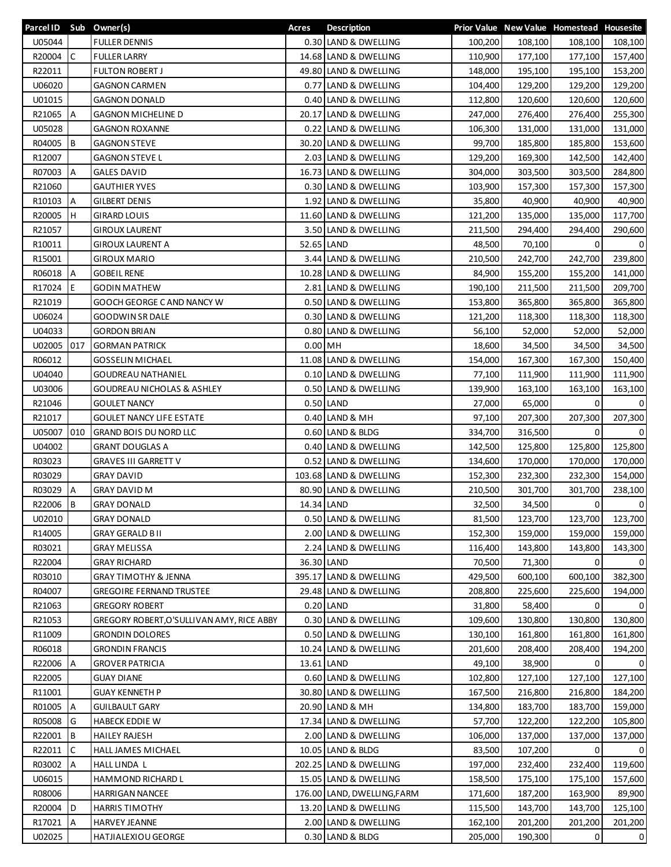| Parcel ID Sub Owner(s) |              |                                          | Acres     | <b>Description</b>          |         |         | Prior Value New Value Homestead Housesite |                |
|------------------------|--------------|------------------------------------------|-----------|-----------------------------|---------|---------|-------------------------------------------|----------------|
| U05044                 |              | <b>FULLER DENNIS</b>                     |           | 0.30 LAND & DWELLING        | 100,200 | 108,100 | 108,100                                   | 108,100        |
| R20004                 | $\mathsf{C}$ | <b>FULLER LARRY</b>                      |           | 14.68 LAND & DWELLING       | 110,900 | 177,100 | 177,100                                   | 157,400        |
| R22011                 |              | <b>FULTON ROBERT J</b>                   |           | 49.80 LAND & DWELLING       | 148,000 | 195,100 | 195,100                                   | 153,200        |
| U06020                 |              | <b>GAGNON CARMEN</b>                     |           | 0.77 LAND & DWELLING        | 104,400 | 129,200 | 129,200                                   | 129,200        |
| U01015                 |              | <b>GAGNON DONALD</b>                     |           | 0.40 LAND & DWELLING        | 112,800 | 120,600 | 120,600                                   | 120,600        |
| R21065                 | A            | <b>GAGNON MICHELINE D</b>                |           | 20.17 LAND & DWELLING       | 247,000 | 276,400 | 276,400                                   | 255,300        |
| U05028                 |              | <b>GAGNON ROXANNE</b>                    |           | 0.22 LAND & DWELLING        | 106,300 | 131,000 | 131,000                                   | 131,000        |
| R04005                 | B            | <b>GAGNON STEVE</b>                      |           | 30.20 LAND & DWELLING       | 99,700  | 185,800 | 185,800                                   | 153,600        |
| R12007                 |              | <b>GAGNON STEVE L</b>                    |           | 2.03 LAND & DWELLING        | 129,200 | 169,300 | 142,500                                   | 142,400        |
| R07003                 | A            | <b>GALES DAVID</b>                       |           | 16.73 LAND & DWELLING       | 304,000 | 303,500 | 303,500                                   | 284,800        |
| R21060                 |              | <b>GAUTHIER YVES</b>                     |           | 0.30 LAND & DWELLING        | 103,900 | 157,300 | 157,300                                   | 157,300        |
| R10103                 | A            | <b>GILBERT DENIS</b>                     |           | 1.92 LAND & DWELLING        | 35,800  | 40,900  | 40,900                                    | 40,900         |
| R20005                 | н            | <b>GIRARD LOUIS</b>                      |           | 11.60 LAND & DWELLING       | 121,200 | 135,000 | 135,000                                   | 117,700        |
| R21057                 |              | <b>GIROUX LAURENT</b>                    |           | 3.50 LAND & DWELLING        | 211,500 | 294,400 | 294,400                                   | 290,600        |
| R10011                 |              | <b>GIROUX LAURENT A</b>                  |           | 52.65 LAND                  | 48,500  | 70,100  | 0                                         | 0              |
| R15001                 |              | <b>GIROUX MARIO</b>                      |           | 3.44 LAND & DWELLING        | 210,500 | 242,700 | 242,700                                   | 239,800        |
| R06018                 | A            | <b>GOBEIL RENE</b>                       |           | 10.28 LAND & DWELLING       | 84,900  | 155,200 | 155,200                                   | 141,000        |
|                        | E            | <b>GODIN MATHEW</b>                      |           | 2.81 LAND & DWELLING        |         |         |                                           |                |
| R17024                 |              |                                          |           |                             | 190,100 | 211,500 | 211,500                                   | 209,700        |
| R21019                 |              | GOOCH GEORGE CAND NANCY W                |           | 0.50 LAND & DWELLING        | 153,800 | 365,800 | 365,800                                   | 365,800        |
| U06024                 |              | <b>GOODWIN SR DALE</b>                   |           | 0.30 LAND & DWELLING        | 121,200 | 118,300 | 118,300                                   | 118,300        |
| U04033                 |              | <b>GORDON BRIAN</b>                      |           | 0.80 LAND & DWELLING        | 56,100  | 52,000  | 52,000                                    | 52,000         |
| U02005                 | 017          | <b>GORMAN PATRICK</b>                    | $0.00$ MH |                             | 18,600  | 34,500  | 34,500                                    | 34,500         |
| R06012                 |              | <b>GOSSELIN MICHAEL</b>                  |           | 11.08 LAND & DWELLING       | 154,000 | 167,300 | 167,300                                   | 150,400        |
| U04040                 |              | <b>GOUDREAU NATHANIEL</b>                |           | 0.10 LAND & DWELLING        | 77,100  | 111,900 | 111,900                                   | 111,900        |
| U03006                 |              | <b>GOUDREAU NICHOLAS &amp; ASHLEY</b>    |           | 0.50 LAND & DWELLING        | 139,900 | 163,100 | 163,100                                   | 163,100        |
| R21046                 |              | <b>GOULET NANCY</b>                      |           | $0.50$ LAND                 | 27,000  | 65,000  | 0                                         | $\overline{0}$ |
| R21017                 |              | <b>GOULET NANCY LIFE ESTATE</b>          |           | 0.40 LAND & MH              | 97,100  | 207,300 | 207,300                                   | 207,300        |
| U05007                 | 010          | <b>GRAND BOIS DU NORD LLC</b>            |           | 0.60 LAND & BLDG            | 334,700 | 316,500 | 0                                         | $\mathbf 0$    |
| U04002                 |              | <b>GRANT DOUGLAS A</b>                   |           | 0.40 LAND & DWELLING        | 142,500 | 125,800 | 125,800                                   | 125,800        |
| R03023                 |              | <b>GRAVES III GARRETT V</b>              |           | 0.52 LAND & DWELLING        | 134,600 | 170,000 | 170,000                                   | 170,000        |
| R03029                 |              | <b>GRAY DAVID</b>                        |           | 103.68 LAND & DWELLING      | 152,300 | 232,300 | 232,300                                   | 154,000        |
| R03029                 | A            | <b>GRAY DAVID M</b>                      |           | 80.90 LAND & DWELLING       | 210,500 | 301,700 | 301,700                                   | 238,100        |
| R22006                 | B            | <b>GRAY DONALD</b>                       |           | 14.34 LAND                  | 32,500  | 34,500  | 0                                         | $\overline{0}$ |
| U02010                 |              | <b>GRAY DONALD</b>                       |           | 0.50 LAND & DWELLING        | 81,500  | 123,700 | 123,700                                   | 123,700        |
| R14005                 |              | <b>GRAY GERALD B II</b>                  |           | 2.00 LAND & DWELLING        | 152,300 | 159,000 | 159,000                                   | 159,000        |
| R03021                 |              | <b>GRAY MELISSA</b>                      |           | 2.24 LAND & DWELLING        | 116,400 | 143,800 | 143,800                                   | 143,300        |
| R22004                 |              | <b>GRAY RICHARD</b>                      |           | 36.30 LAND                  | 70,500  | 71,300  | 0                                         | 0              |
| R03010                 |              | <b>GRAY TIMOTHY &amp; JENNA</b>          |           | 395.17 LAND & DWELLING      | 429,500 | 600,100 | 600,100                                   | 382,300        |
| R04007                 |              | <b>GREGOIRE FERNAND TRUSTEE</b>          |           | 29.48 LAND & DWELLING       | 208,800 | 225,600 | 225,600                                   | 194,000        |
| R21063                 |              | <b>GREGORY ROBERT</b>                    |           | $0.20$ LAND                 | 31,800  | 58,400  | 0                                         | 0              |
| R21053                 |              | GREGORY ROBERT,O'SULLIVAN AMY, RICE ABBY |           | 0.30 LAND & DWELLING        | 109,600 | 130,800 | 130,800                                   | 130,800        |
| R11009                 |              | <b>GRONDIN DOLORES</b>                   |           | 0.50 LAND & DWELLING        | 130,100 | 161,800 | 161,800                                   | 161,800        |
| R06018                 |              | <b>GRONDIN FRANCIS</b>                   |           | 10.24 LAND & DWELLING       | 201,600 | 208,400 | 208,400                                   | 194,200        |
| R22006                 | A            | <b>GROVER PATRICIA</b>                   |           | 13.61 LAND                  | 49,100  | 38,900  | $\mathbf 0$                               | 0              |
| R22005                 |              | <b>GUAY DIANE</b>                        |           | 0.60 LAND & DWELLING        | 102,800 | 127,100 | 127,100                                   | 127,100        |
| R11001                 |              | <b>GUAY KENNETH P</b>                    |           | 30.80 LAND & DWELLING       | 167,500 | 216,800 | 216,800                                   | 184,200        |
| R01005                 | A            | GUILBAULT GARY                           |           | 20.90 LAND & MH             | 134,800 | 183,700 | 183,700                                   | 159,000        |
| R05008                 | G            | <b>HABECK EDDIE W</b>                    |           | 17.34 LAND & DWELLING       | 57,700  | 122,200 | 122,200                                   | 105,800        |
| R22001                 | B            | <b>HAILEY RAJESH</b>                     |           | 2.00 LAND & DWELLING        | 106,000 | 137,000 | 137,000                                   | 137,000        |
| R22011                 | C            | HALL JAMES MICHAEL                       |           | 10.05 LAND & BLDG           | 83,500  | 107,200 | 0                                         | 0              |
| R03002                 | А            | HALL LINDA L                             |           | 202.25 LAND & DWELLING      | 197,000 | 232,400 | 232,400                                   | 119,600        |
| U06015                 |              | HAMMOND RICHARD L                        |           | 15.05 LAND & DWELLING       | 158,500 | 175,100 | 175,100                                   | 157,600        |
| R08006                 |              | HARRIGAN NANCEE                          |           | 176.00 LAND, DWELLING, FARM | 171,600 | 187,200 | 163,900                                   | 89,900         |
| R20004                 | D            | <b>HARRIS TIMOTHY</b>                    |           | 13.20 LAND & DWELLING       | 115,500 | 143,700 | 143,700                                   | 125,100        |
| R17021                 | A            | <b>HARVEY JEANNE</b>                     |           | 2.00 LAND & DWELLING        | 162,100 | 201,200 | 201,200                                   | 201,200        |
|                        |              | HATJIALEXIOU GEORGE                      |           | 0.30 LAND & BLDG            |         |         | 0                                         | $\overline{0}$ |
| U02025                 |              |                                          |           |                             | 205,000 | 190,300 |                                           |                |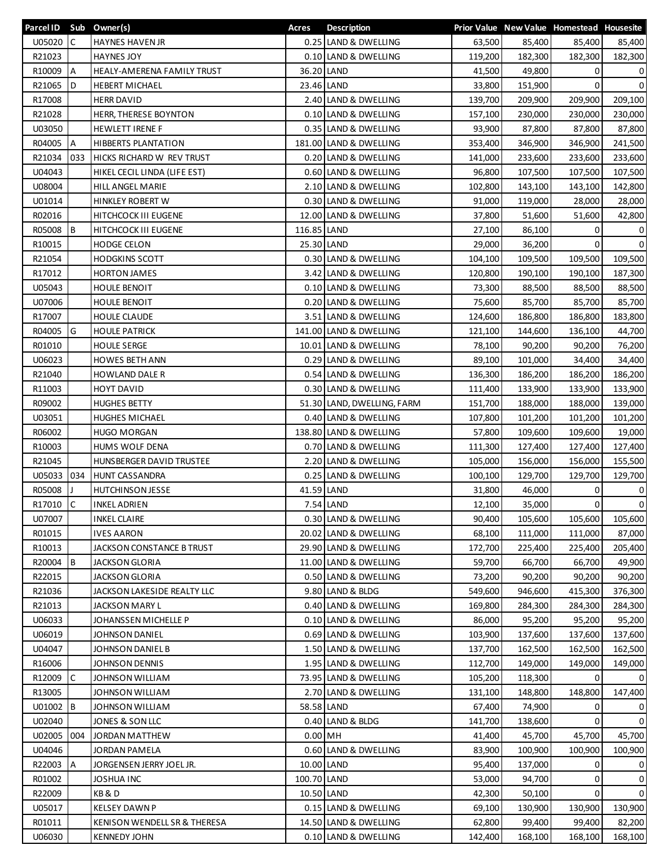| Parcel ID Sub Owner(s) |              |                                  | Acres       | <b>Description</b>         |         |         | Prior Value New Value Homestead Housesite |                |
|------------------------|--------------|----------------------------------|-------------|----------------------------|---------|---------|-------------------------------------------|----------------|
| U05020                 | $\mathsf{C}$ | <b>HAYNES HAVEN JR</b>           |             | 0.25 LAND & DWELLING       | 63,500  | 85,400  | 85,400                                    | 85,400         |
| R21023                 |              | <b>HAYNES JOY</b>                |             | 0.10 LAND & DWELLING       | 119,200 | 182,300 | 182,300                                   | 182,300        |
| R10009                 | A            | HEALY-AMERENA FAMILY TRUST       |             | 36.20 LAND                 | 41,500  | 49,800  | 0                                         | 0              |
| R21065                 | D            | <b>HEBERT MICHAEL</b>            |             | 23.46 LAND                 | 33,800  | 151,900 | $\Omega$                                  | $\mathbf 0$    |
| R17008                 |              | <b>HERR DAVID</b>                |             | 2.40 LAND & DWELLING       | 139,700 | 209,900 | 209,900                                   | 209,100        |
| R21028                 |              | HERR, THERESE BOYNTON            |             | 0.10 LAND & DWELLING       | 157,100 | 230,000 | 230,000                                   | 230,000        |
| U03050                 |              | <b>HEWLETT IRENE F</b>           |             | 0.35 LAND & DWELLING       | 93,900  | 87,800  | 87,800                                    | 87,800         |
| R04005                 | A            | <b>HIBBERTS PLANTATION</b>       |             | 181.00 LAND & DWELLING     | 353,400 | 346,900 | 346,900                                   | 241,500        |
| R21034                 | 033          | <b>HICKS RICHARD W REV TRUST</b> |             | 0.20 LAND & DWELLING       | 141,000 | 233,600 | 233,600                                   | 233,600        |
| U04043                 |              | HIKEL CECIL LINDA (LIFE EST)     |             | 0.60 LAND & DWELLING       | 96,800  | 107,500 | 107,500                                   | 107,500        |
| U08004                 |              | HILL ANGEL MARIE                 |             | 2.10 LAND & DWELLING       | 102,800 | 143,100 | 143,100                                   | 142,800        |
| U01014                 |              | <b>HINKLEY ROBERT W</b>          |             | 0.30 LAND & DWELLING       | 91,000  | 119,000 | 28,000                                    | 28,000         |
| R02016                 |              | HITCHCOCK III EUGENE             |             | 12.00 LAND & DWELLING      | 37,800  | 51,600  | 51,600                                    | 42,800         |
| R05008                 | B            | HITCHCOCK III EUGENE             | 116.85 LAND |                            | 27,100  | 86,100  | 0                                         | 0              |
| R10015                 |              | <b>HODGE CELON</b>               |             | 25.30 LAND                 | 29,000  | 36,200  | $\Omega$                                  | $\mathbf 0$    |
| R21054                 |              | <b>HODGKINS SCOTT</b>            |             | 0.30 LAND & DWELLING       | 104,100 | 109,500 | 109,500                                   | 109,500        |
| R17012                 |              | <b>HORTON JAMES</b>              |             | 3.42 LAND & DWELLING       | 120,800 | 190,100 | 190,100                                   | 187,300        |
| U05043                 |              | <b>HOULE BENOIT</b>              |             | 0.10 LAND & DWELLING       | 73,300  | 88,500  | 88,500                                    | 88,500         |
| U07006                 |              | <b>HOULE BENOIT</b>              |             | 0.20 LAND & DWELLING       | 75,600  | 85,700  | 85,700                                    | 85,700         |
| R17007                 |              | <b>HOULE CLAUDE</b>              |             | 3.51 LAND & DWELLING       | 124,600 | 186,800 | 186,800                                   | 183,800        |
| R04005                 | G            | <b>HOULE PATRICK</b>             |             | 141.00 LAND & DWELLING     | 121,100 | 144,600 | 136,100                                   | 44,700         |
| R01010                 |              | <b>HOULE SERGE</b>               |             | 10.01 LAND & DWELLING      | 78,100  | 90,200  | 90,200                                    | 76,200         |
| U06023                 |              |                                  |             | 0.29 LAND & DWELLING       |         |         |                                           |                |
|                        |              | <b>HOWES BETH ANN</b>            |             |                            | 89,100  | 101,000 | 34,400                                    | 34,400         |
| R21040                 |              | <b>HOWLAND DALE R</b>            |             | 0.54 LAND & DWELLING       | 136,300 | 186,200 | 186,200                                   | 186,200        |
| R11003                 |              | <b>HOYT DAVID</b>                |             | 0.30 LAND & DWELLING       | 111,400 | 133,900 | 133,900                                   | 133,900        |
| R09002                 |              | <b>HUGHES BETTY</b>              |             | 51.30 LAND, DWELLING, FARM | 151,700 | 188,000 | 188,000                                   | 139,000        |
| U03051                 |              | <b>HUGHES MICHAEL</b>            |             | 0.40 LAND & DWELLING       | 107,800 | 101,200 | 101,200                                   | 101,200        |
| R06002                 |              | <b>HUGO MORGAN</b>               |             | 138.80 LAND & DWELLING     | 57,800  | 109,600 | 109,600                                   | 19,000         |
| R10003                 |              | HUMS WOLF DENA                   |             | 0.70 LAND & DWELLING       | 111,300 | 127,400 | 127,400                                   | 127,400        |
| R21045                 |              | HUNSBERGER DAVID TRUSTEE         |             | 2.20 LAND & DWELLING       | 105,000 | 156,000 | 156,000                                   | 155,500        |
| U05033                 | 034          | <b>HUNT CASSANDRA</b>            |             | 0.25 LAND & DWELLING       | 100,100 | 129,700 | 129,700                                   | 129,700        |
| R05008                 |              | HUTCHINSON JESSE                 |             | 41.59 LAND                 | 31,800  | 46,000  | 0                                         | 0              |
| R17010                 | $\mathsf{C}$ | <b>INKEL ADRIEN</b>              |             | 7.54 LAND                  | 12,100  | 35,000  | 0                                         | $\mathbf 0$    |
| U07007                 |              | <b>INKEL CLAIRE</b>              |             | 0.30 LAND & DWELLING       | 90,400  | 105,600 | 105,600                                   | 105,600        |
| R01015                 |              | <b>IVES AARON</b>                |             | 20.02 LAND & DWELLING      | 68,100  | 111,000 | 111,000                                   | 87,000         |
| R10013                 |              | JACKSON CONSTANCE B TRUST        |             | 29.90 LAND & DWELLING      | 172,700 | 225,400 | 225,400                                   | 205,400        |
| R20004                 | B            | JACKSON GLORIA                   |             | 11.00 LAND & DWELLING      | 59,700  | 66,700  | 66,700                                    | 49,900         |
| R22015                 |              | JACKSON GLORIA                   |             | 0.50 LAND & DWELLING       | 73,200  | 90,200  | 90,200                                    | 90,200         |
| R21036                 |              | JACKSON LAKESIDE REALTY LLC      |             | 9.80 LAND & BLDG           | 549,600 | 946,600 | 415,300                                   | 376,300        |
| R21013                 |              | JACKSON MARY L                   |             | 0.40 LAND & DWELLING       | 169,800 | 284,300 | 284,300                                   | 284,300        |
| U06033                 |              | JOHANSSEN MICHELLE P             |             | 0.10 LAND & DWELLING       | 86,000  | 95,200  | 95,200                                    | 95,200         |
| U06019                 |              | JOHNSON DANIEL                   |             | 0.69 LAND & DWELLING       | 103,900 | 137,600 | 137,600                                   | 137,600        |
| U04047                 |              | JOHNSON DANIEL B                 |             | 1.50 LAND & DWELLING       | 137,700 | 162,500 | 162,500                                   | 162,500        |
| R16006                 |              | JOHNSON DENNIS                   |             | 1.95 LAND & DWELLING       | 112,700 | 149,000 | 149,000                                   | 149,000        |
| R12009                 | С            | JOHNSON WILLIAM                  |             | 73.95 LAND & DWELLING      | 105,200 | 118,300 | $\Omega$                                  | $\overline{0}$ |
| R13005                 |              | JOHNSON WILLIAM                  |             | 2.70 LAND & DWELLING       | 131,100 | 148,800 | 148,800                                   | 147,400        |
| U01002 B               |              | JOHNSON WILLIAM                  |             | 58.58 LAND                 | 67,400  | 74,900  | 0                                         | 0              |
| U02040                 |              | JONES & SON LLC                  |             | 0.40 LAND & BLDG           | 141,700 | 138,600 | 0                                         | $\overline{0}$ |
| U02005                 | 004          | JORDAN MATTHEW                   | $0.00$ MH   |                            | 41,400  | 45,700  | 45,700                                    | 45,700         |
| U04046                 |              | JORDAN PAMELA                    |             | 0.60 LAND & DWELLING       | 83,900  | 100,900 | 100,900                                   | 100,900        |
| R22003                 | A            | JORGENSEN JERRY JOEL JR.         |             | 10.00 LAND                 | 95,400  | 137,000 | 0                                         | 0              |
| R01002                 |              | JOSHUA INC                       | 100.70 LAND |                            | 53,000  | 94,700  | 0                                         | 0              |
| R22009                 |              | KB & D                           |             | 10.50 LAND                 | 42,300  | 50,100  | 0                                         | $\mathsf{o}$   |
| U05017                 |              | <b>KELSEY DAWN P</b>             |             | 0.15 LAND & DWELLING       | 69,100  | 130,900 | 130,900                                   | 130,900        |
| R01011                 |              | KENISON WENDELL SR & THERESA     |             | 14.50 LAND & DWELLING      | 62,800  | 99,400  | 99,400                                    | 82,200         |
| U06030                 |              | <b>KENNEDY JOHN</b>              |             | 0.10 LAND & DWELLING       | 142,400 | 168,100 | 168,100                                   | 168,100        |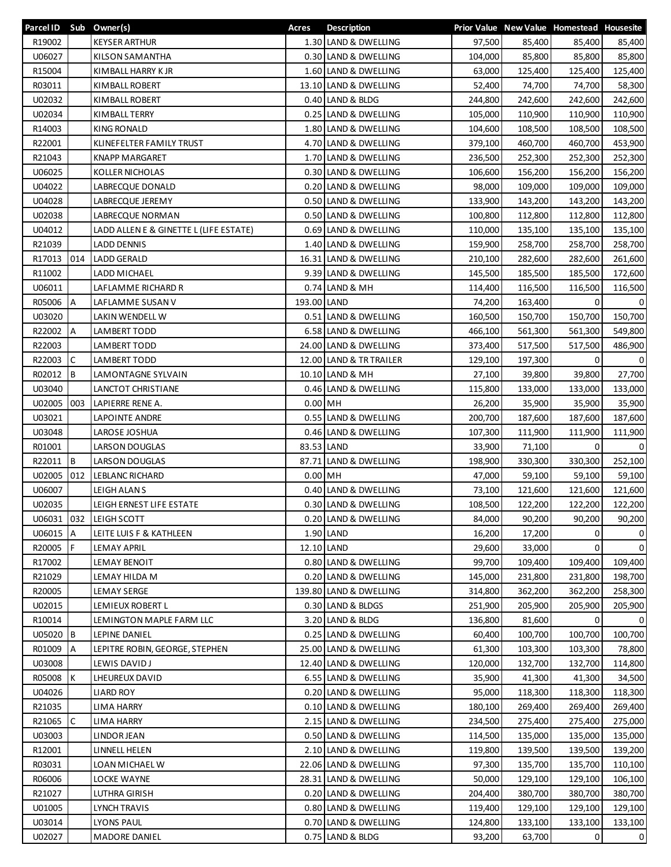| Parcel ID Sub Owner(s) |     |                                       | Acres       | <b>Description</b>      |         |         | Prior Value New Value Homestead Housesite |                |
|------------------------|-----|---------------------------------------|-------------|-------------------------|---------|---------|-------------------------------------------|----------------|
| R19002                 |     | <b>KEYSER ARTHUR</b>                  |             | 1.30 LAND & DWELLING    | 97,500  | 85,400  | 85,400                                    | 85,400         |
| U06027                 |     | KILSON SAMANTHA                       |             | 0.30 LAND & DWELLING    | 104,000 | 85,800  | 85,800                                    | 85,800         |
| R15004                 |     | KIMBALL HARRY KJR                     |             | 1.60 LAND & DWELLING    | 63,000  | 125,400 | 125,400                                   | 125,400        |
| R03011                 |     | KIMBALL ROBERT                        |             | 13.10 LAND & DWELLING   | 52,400  | 74,700  | 74,700                                    | 58,300         |
| U02032                 |     | KIMBALL ROBERT                        |             | 0.40 LAND & BLDG        | 244,800 | 242,600 | 242,600                                   | 242,600        |
| U02034                 |     | KIMBALL TERRY                         |             | 0.25 LAND & DWELLING    | 105,000 | 110,900 | 110,900                                   | 110,900        |
| R14003                 |     | KING RONALD                           |             | 1.80 LAND & DWELLING    | 104,600 | 108,500 | 108,500                                   | 108,500        |
| R22001                 |     | KLINEFELTER FAMILY TRUST              |             | 4.70 LAND & DWELLING    | 379,100 | 460,700 | 460,700                                   | 453,900        |
| R21043                 |     | <b>KNAPP MARGARET</b>                 |             | 1.70 LAND & DWELLING    | 236,500 | 252,300 | 252,300                                   | 252,300        |
| U06025                 |     | <b>KOLLER NICHOLAS</b>                |             | 0.30 LAND & DWELLING    | 106,600 | 156,200 | 156,200                                   | 156,200        |
| U04022                 |     | LABRECQUE DONALD                      |             | 0.20 LAND & DWELLING    | 98,000  | 109,000 | 109,000                                   | 109,000        |
| U04028                 |     | LABRECQUE JEREMY                      |             | 0.50 LAND & DWELLING    | 133,900 | 143,200 | 143,200                                   | 143,200        |
| U02038                 |     | LABRECQUE NORMAN                      |             | 0.50 LAND & DWELLING    | 100,800 | 112,800 | 112,800                                   | 112,800        |
| U04012                 |     | LADD ALLENE & GINETTE L (LIFE ESTATE) |             | 0.69 LAND & DWELLING    | 110,000 | 135,100 | 135,100                                   | 135,100        |
| R21039                 |     | <b>LADD DENNIS</b>                    |             | 1.40 LAND & DWELLING    | 159,900 | 258,700 | 258,700                                   | 258,700        |
| R17013                 | 014 | <b>LADD GERALD</b>                    |             | 16.31 LAND & DWELLING   | 210,100 | 282,600 | 282,600                                   | 261,600        |
| R11002                 |     | LADD MICHAEL                          |             | 9.39 LAND & DWELLING    | 145,500 | 185,500 | 185,500                                   | 172,600        |
| U06011                 |     | LAFLAMME RICHARD R                    |             | 0.74 LAND & MH          | 114,400 | 116,500 | 116,500                                   | 116,500        |
| R05006                 | A   | LAFLAMME SUSAN V                      | 193.00 LAND |                         | 74,200  | 163,400 | $\Omega$                                  | $\mathbf{0}$   |
| U03020                 |     | <b>LAKIN WENDELL W</b>                |             | 0.51 LAND & DWELLING    | 160,500 | 150,700 | 150,700                                   | 150,700        |
| R22002                 | Α   | LAMBERT TODD                          |             | 6.58 LAND & DWELLING    | 466,100 | 561,300 | 561,300                                   | 549,800        |
| R22003                 |     | LAMBERT TODD                          |             | 24.00 LAND & DWELLING   | 373,400 | 517,500 | 517,500                                   | 486,900        |
| R22003                 | C   | LAMBERT TODD                          |             | 12.00 LAND & TR TRAILER | 129,100 | 197,300 | 0                                         | $\overline{0}$ |
| R02012                 | B   | LAMONTAGNE SYLVAIN                    |             | 10.10 LAND & MH         | 27,100  | 39,800  | 39,800                                    | 27,700         |
| U03040                 |     | LANCTOT CHRISTIANE                    |             | 0.46 LAND & DWELLING    | 115,800 | 133,000 | 133,000                                   | 133,000        |
| U02005                 | 003 | LAPIERRE RENE A.                      |             | $0.00$ MH               | 26,200  | 35,900  | 35,900                                    | 35,900         |
| U03021                 |     | LAPOINTE ANDRE                        |             | 0.55 LAND & DWELLING    | 200,700 | 187,600 | 187,600                                   | 187,600        |
| U03048                 |     | LAROSE JOSHUA                         |             | 0.46 LAND & DWELLING    | 107,300 | 111,900 | 111,900                                   | 111,900        |
| R01001                 |     | <b>LARSON DOUGLAS</b>                 |             | 83.53 LAND              | 33,900  | 71,100  | $\Omega$                                  | $\mathbf{0}$   |
| R22011                 | l B | <b>LARSON DOUGLAS</b>                 |             | 87.71 LAND & DWELLING   | 198,900 | 330,300 | 330,300                                   | 252,100        |
| U02005                 | 012 | LEBLANC RICHARD                       | $0.00$ MH   |                         | 47,000  | 59,100  | 59,100                                    | 59,100         |
| U06007                 |     | LEIGH ALANS                           |             | 0.40 LAND & DWELLING    | 73,100  | 121,600 | 121,600                                   | 121,600        |
| U02035                 |     | LEIGH ERNEST LIFE ESTATE              |             | 0.30 LAND & DWELLING    | 108,500 | 122,200 | 122,200                                   | 122,200        |
|                        |     | U06031 032 LEIGH SCOTT                |             | 0.20 LAND & DWELLING    | 84,000  | 90,200  | 90,200                                    | 90,200         |
| U06015 A               |     | LEITE LUIS F & KATHLEEN               |             | 1.90 LAND               | 16,200  | 17,200  | 0                                         | 0              |
| R20005                 | F   | <b>LEMAY APRIL</b>                    |             | 12.10 LAND              | 29,600  | 33,000  | 0                                         | $\mathbf{0}$   |
| R17002                 |     | LEMAY BENOIT                          |             | 0.80 LAND & DWELLING    | 99,700  | 109,400 | 109,400                                   | 109,400        |
| R21029                 |     | LEMAY HILDA M                         |             | 0.20 LAND & DWELLING    | 145,000 | 231,800 | 231,800                                   | 198,700        |
| R20005                 |     | <b>LEMAY SERGE</b>                    |             | 139.80 LAND & DWELLING  | 314,800 | 362,200 | 362,200                                   | 258,300        |
| U02015                 |     | LEMIEUX ROBERT L                      |             | 0.30 LAND & BLDGS       | 251,900 | 205,900 | 205,900                                   | 205,900        |
| R10014                 |     | LEMINGTON MAPLE FARM LLC              |             | 3.20 LAND & BLDG        | 136,800 | 81,600  | 0                                         | 0              |
| U05020 B               |     | LEPINE DANIEL                         |             | 0.25 LAND & DWELLING    | 60,400  | 100,700 | 100,700                                   | 100,700        |
| R01009                 | A   | LEPITRE ROBIN, GEORGE, STEPHEN        |             | 25.00 LAND & DWELLING   | 61,300  | 103,300 | 103,300                                   | 78,800         |
| U03008                 |     | LEWIS DAVID J                         |             | 12.40 LAND & DWELLING   | 120,000 | 132,700 | 132,700                                   | 114,800        |
| R05008                 | К   | LHEUREUX DAVID                        |             | 6.55 LAND & DWELLING    | 35,900  | 41,300  | 41,300                                    | 34,500         |
| U04026                 |     | <b>LIARD ROY</b>                      |             | 0.20 LAND & DWELLING    | 95,000  | 118,300 | 118,300                                   | 118,300        |
| R21035                 |     | LIMA HARRY                            |             | 0.10 LAND & DWELLING    | 180,100 | 269,400 | 269,400                                   | 269,400        |
| R21065                 | C   | <b>LIMA HARRY</b>                     |             | 2.15 LAND & DWELLING    | 234,500 | 275,400 | 275,400                                   | 275,000        |
| U03003                 |     | LINDOR JEAN                           |             | 0.50 LAND & DWELLING    | 114,500 | 135,000 | 135,000                                   | 135,000        |
| R12001                 |     | LINNELL HELEN                         |             | 2.10 LAND & DWELLING    | 119,800 | 139,500 | 139,500                                   | 139,200        |
| R03031                 |     | LOAN MICHAEL W                        |             | 22.06 LAND & DWELLING   | 97,300  | 135,700 | 135,700                                   | 110,100        |
| R06006                 |     | LOCKE WAYNE                           |             | 28.31 LAND & DWELLING   | 50,000  | 129,100 | 129,100                                   | 106,100        |
| R21027                 |     | LUTHRA GIRISH                         |             | 0.20 LAND & DWELLING    | 204,400 | 380,700 | 380,700                                   | 380,700        |
| U01005                 |     | LYNCH TRAVIS                          |             | 0.80 LAND & DWELLING    | 119,400 | 129,100 | 129,100                                   | 129,100        |
| U03014                 |     | <b>LYONS PAUL</b>                     |             | 0.70 LAND & DWELLING    | 124,800 | 133,100 | 133,100                                   | 133,100        |
| U02027                 |     | MADORE DANIEL                         |             | 0.75 LAND & BLDG        | 93,200  | 63,700  | 0                                         | $\mathbf{0}$   |
|                        |     |                                       |             |                         |         |         |                                           |                |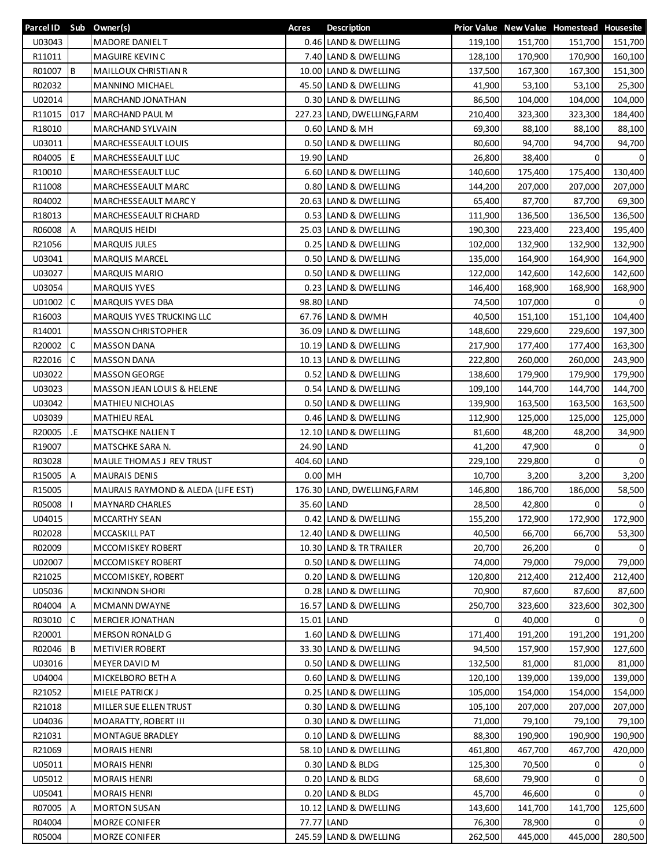| U03043<br>151,700<br>MADORE DANIEL T<br>0.46 LAND & DWELLING<br>119,100<br>151,700<br>151,700<br>R11011<br>MAGUIRE KEVINC<br>7.40 LAND & DWELLING<br>128,100<br>170,900<br>170,900<br>160,100<br>R01007<br>l B<br>167,300<br>MAILLOUX CHRISTIAN R<br>10.00 LAND & DWELLING<br>137,500<br>167,300<br>151,300<br>R02032<br>45.50 LAND & DWELLING<br>53,100<br>25,300<br><b>MANNINO MICHAEL</b><br>41,900<br>53,100<br>U02014<br>MARCHAND JONATHAN<br>0.30 LAND & DWELLING<br>86,500<br>104,000<br>104,000<br>104,000<br>R11015<br>017<br><b>MARCHAND PAUL M</b><br>227.23 LAND, DWELLING, FARM<br>210,400<br>323,300<br>323,300<br>184,400<br>R18010<br>0.60 LAND & MH<br>MARCHAND SYLVAIN<br>69,300<br>88,100<br>88,100<br>88,100<br>U03011<br>0.50 LAND & DWELLING<br>94,700<br>94,700<br>MARCHESSEAULT LOUIS<br>80,600<br>94,700<br>R04005<br>E<br>19.90 LAND<br>$\Omega$<br>MARCHESSEAULT LUC<br>26,800<br>38,400<br>$\mathbf{0}$<br>R10010<br>6.60 LAND & DWELLING<br>MARCHESSEAULT LUC<br>140,600<br>175,400<br>175,400<br>130,400<br>R11008<br>MARCHESSEAULT MARC<br>0.80 LAND & DWELLING<br>144,200<br>207,000<br>207,000<br>207,000<br>R04002<br>20.63 LAND & DWELLING<br>87,700<br>87,700<br>MARCHESSEAULT MARCY<br>65,400<br>69,300<br>R18013<br>136,500<br>136,500<br>MARCHESSEAULT RICHARD<br>0.53 LAND & DWELLING<br>111,900<br>136,500<br>R06008<br>25.03 LAND & DWELLING<br>195,400<br>$\overline{A}$<br><b>MARQUIS HEIDI</b><br>190,300<br>223,400<br>223,400<br>R21056<br><b>MARQUIS JULES</b><br>0.25 LAND & DWELLING<br>102,000<br>132,900<br>132,900<br>132,900<br>U03041<br><b>MARQUIS MARCEL</b><br>0.50 LAND & DWELLING<br>135,000<br>164,900<br>164,900<br>164,900<br>U03027<br>0.50 LAND & DWELLING<br><b>MARQUIS MARIO</b><br>122,000<br>142,600<br>142,600<br>142,600<br>U03054<br><b>MARQUIS YVES</b><br>0.23 LAND & DWELLING<br>146,400<br>168,900<br>168,900<br>168,900<br>C.<br>98.80 LAND<br>107,000<br>$\Omega$<br>U01002<br><b>MARQUIS YVES DBA</b><br>74,500<br>$\mathbf{0}$<br>R16003<br>67.76 LAND & DWMH<br>MARQUIS YVES TRUCKING LLC<br>40,500<br>151,100<br>151,100<br>104,400<br>229,600<br>229,600<br>R14001<br><b>MASSON CHRISTOPHER</b><br>36.09 LAND & DWELLING<br>148,600<br>197,300<br>C<br>R20002<br>10.19 LAND & DWELLING<br>MASSON DANA<br>217,900<br>177,400<br>177,400<br>163,300<br>$\mathsf{C}$<br>R22016<br>260,000<br>243,900<br><b>MASSON DANA</b><br>10.13 LAND & DWELLING<br>222,800<br>260,000<br>U03022<br>0.52 LAND & DWELLING<br>179,900<br>179,900<br>179,900<br><b>MASSON GEORGE</b><br>138,600<br>U03023<br>MASSON JEAN LOUIS & HELENE<br>0.54 LAND & DWELLING<br>109,100<br>144,700<br>144,700<br>144,700<br>U03042<br><b>MATHIEU NICHOLAS</b><br>0.50 LAND & DWELLING<br>139,900<br>163,500<br>163,500<br>163,500<br>U03039<br><b>MATHIEU REAL</b><br>0.46 LAND & DWELLING<br>112,900<br>125,000<br>125,000<br>125,000<br>R20005<br>.E<br>12.10 LAND & DWELLING<br><b>MATSCHKE NALIENT</b><br>81,600<br>48,200<br>48,200<br>34,900<br>R19007<br>24.90 LAND<br>47,900<br>0<br><b>MATSCHKE SARA N.</b><br>41,200<br>0<br>404.60 LAND<br>$\overline{0}$<br>R03028<br>MAULE THOMAS J REV TRUST<br>229,100<br>229,800<br>0<br>$0.00$ MH<br>3,200<br>R15005<br>A<br><b>MAURAIS DENIS</b><br>10,700<br>3,200<br>3,200<br>R15005<br>MAURAIS RAYMOND & ALEDA (LIFE EST)<br>176.30 LAND, DWELLING, FARM<br>186,700<br>146,800<br>186,000<br>58,500<br>R05008<br>35.60 LAND<br>42,800<br>0<br>$\overline{0}$<br><b>MAYNARD CHARLES</b><br>28,500<br>U04015<br>0.42 LAND & DWELLING<br>172,900<br><b>MCCARTHY SEAN</b><br>155,200<br>172,900<br>172,900<br>R02028<br>MCCASKILL PAT<br>12.40 LAND & DWELLING<br>40,500<br>66,700<br>66,700<br>53,300<br>26,200<br>R02009<br>MCCOMISKEY ROBERT<br>10.30 LAND & TR TRAILER<br>20,700<br>0<br>$\mathbf{0}$<br>U02007<br>79,000<br>MCCOMISKEY ROBERT<br>0.50 LAND & DWELLING<br>74,000<br>79,000<br>79,000<br>R21025<br>0.20 LAND & DWELLING<br>120,800<br>212,400<br>212,400<br>212,400<br>MCCOMISKEY, ROBERT<br>U05036<br><b>MCKINNON SHORI</b><br>0.28 LAND & DWELLING<br>70,900<br>87,600<br>87,600<br>87,600<br>R04004<br>A<br>16.57 LAND & DWELLING<br>323,600<br><b>MCMANN DWAYNE</b><br>250,700<br>323,600<br>302,300<br>С<br>R03010<br><b>MERCIER JONATHAN</b><br>15.01 LAND<br>0<br>40,000<br>0<br>0<br>R20001<br>MERSON RONALD G<br>1.60 LAND & DWELLING<br>171,400<br>191,200<br>191,200<br>191,200<br>R02046<br>B<br><b>METIVIER ROBERT</b><br>33.30 LAND & DWELLING<br>94,500<br>157,900<br>157,900<br>127,600<br>U03016<br>0.50 LAND & DWELLING<br>81,000<br>MEYER DAVID M<br>132,500<br>81,000<br>81,000<br>U04004<br>MICKELBORO BETH A<br>0.60 LAND & DWELLING<br>120,100<br>139,000<br>139,000<br>139,000<br>R21052<br><b>MIELE PATRICKJ</b><br>0.25 LAND & DWELLING<br>105,000<br>154,000<br>154,000<br>154,000<br>R21018<br>0.30 LAND & DWELLING<br>MILLER SUE ELLEN TRUST<br>105,100<br>207,000<br>207,000<br>207,000<br>U04036<br>MOARATTY, ROBERT III<br>0.30 LAND & DWELLING<br>71,000<br>79,100<br>79,100<br>79,100<br>R21031<br><b>MONTAGUE BRADLEY</b><br>0.10 LAND & DWELLING<br>88,300<br>190,900<br>190,900<br>190,900<br>R21069<br>58.10 LAND & DWELLING<br>467,700<br><b>MORAIS HENRI</b><br>461,800<br>467,700<br>420,000<br>0.30 LAND & BLDG<br>U05011<br><b>MORAIS HENRI</b><br>125,300<br>70,500<br>0<br>0<br>0.20 LAND & BLDG<br>0<br>U05012<br>MORAIS HENRI<br>68,600<br>79,900<br>0<br>U05041<br>$\mathsf{o}$<br><b>MORAIS HENRI</b><br>0.20 LAND & BLDG<br>45,700<br>46,600<br>0<br>R07005<br>A<br><b>MORTON SUSAN</b><br>10.12 LAND & DWELLING<br>143,600<br>141,700<br>141,700<br>125,600<br>R04004<br>MORZE CONIFER<br>77.77 LAND<br>76,300<br>78,900<br>$\Omega$<br>$\Omega$<br>R05004<br>MORZE CONIFER<br>245.59 LAND & DWELLING<br>262,500<br>445,000<br>445,000<br>280,500 | Parcel ID Sub Owner(s) |  | Acres | <b>Description</b> |  | Prior Value New Value Homestead Housesite |  |
|-----------------------------------------------------------------------------------------------------------------------------------------------------------------------------------------------------------------------------------------------------------------------------------------------------------------------------------------------------------------------------------------------------------------------------------------------------------------------------------------------------------------------------------------------------------------------------------------------------------------------------------------------------------------------------------------------------------------------------------------------------------------------------------------------------------------------------------------------------------------------------------------------------------------------------------------------------------------------------------------------------------------------------------------------------------------------------------------------------------------------------------------------------------------------------------------------------------------------------------------------------------------------------------------------------------------------------------------------------------------------------------------------------------------------------------------------------------------------------------------------------------------------------------------------------------------------------------------------------------------------------------------------------------------------------------------------------------------------------------------------------------------------------------------------------------------------------------------------------------------------------------------------------------------------------------------------------------------------------------------------------------------------------------------------------------------------------------------------------------------------------------------------------------------------------------------------------------------------------------------------------------------------------------------------------------------------------------------------------------------------------------------------------------------------------------------------------------------------------------------------------------------------------------------------------------------------------------------------------------------------------------------------------------------------------------------------------------------------------------------------------------------------------------------------------------------------------------------------------------------------------------------------------------------------------------------------------------------------------------------------------------------------------------------------------------------------------------------------------------------------------------------------------------------------------------------------------------------------------------------------------------------------------------------------------------------------------------------------------------------------------------------------------------------------------------------------------------------------------------------------------------------------------------------------------------------------------------------------------------------------------------------------------------------------------------------------------------------------------------------------------------------------------------------------------------------------------------------------------------------------------------------------------------------------------------------------------------------------------------------------------------------------------------------------------------------------------------------------------------------------------------------------------------------------------------------------------------------------------------------------------------------------------------------------------------------------------------------------------------------------------------------------------------------------------------------------------------------------------------------------------------------------------------------------------------------------------------------------------------------------------------------------------------------------------------------------------------------------------------------------------------------------------------------------------------------------------------------------------------------------------------------------------------------------------------------------------------------------------------------------------------------------------------------------------------------------------------------------------------------------------------------------------------------------------------------------------------------------------------------------------------------------------------------------------------------------------------------------------------------------------------------------------------------------------------------------------------------------------------------------------------------------------------------------------------------------------------------------------------------------------------------------------------------------------------------------------------------------------------------------------------------------------------------------------------------------------|------------------------|--|-------|--------------------|--|-------------------------------------------|--|
|                                                                                                                                                                                                                                                                                                                                                                                                                                                                                                                                                                                                                                                                                                                                                                                                                                                                                                                                                                                                                                                                                                                                                                                                                                                                                                                                                                                                                                                                                                                                                                                                                                                                                                                                                                                                                                                                                                                                                                                                                                                                                                                                                                                                                                                                                                                                                                                                                                                                                                                                                                                                                                                                                                                                                                                                                                                                                                                                                                                                                                                                                                                                                                                                                                                                                                                                                                                                                                                                                                                                                                                                                                                                                                                                                                                                                                                                                                                                                                                                                                                                                                                                                                                                                                                                                                                                                                                                                                                                                                                                                                                                                                                                                                                                                                                                                                                                                                                                                                                                                                                                                                                                                                                                                                                                                                                                                                                                                                                                                                                                                                                                                                                                                                                                                                                                                             |                        |  |       |                    |  |                                           |  |
|                                                                                                                                                                                                                                                                                                                                                                                                                                                                                                                                                                                                                                                                                                                                                                                                                                                                                                                                                                                                                                                                                                                                                                                                                                                                                                                                                                                                                                                                                                                                                                                                                                                                                                                                                                                                                                                                                                                                                                                                                                                                                                                                                                                                                                                                                                                                                                                                                                                                                                                                                                                                                                                                                                                                                                                                                                                                                                                                                                                                                                                                                                                                                                                                                                                                                                                                                                                                                                                                                                                                                                                                                                                                                                                                                                                                                                                                                                                                                                                                                                                                                                                                                                                                                                                                                                                                                                                                                                                                                                                                                                                                                                                                                                                                                                                                                                                                                                                                                                                                                                                                                                                                                                                                                                                                                                                                                                                                                                                                                                                                                                                                                                                                                                                                                                                                                             |                        |  |       |                    |  |                                           |  |
|                                                                                                                                                                                                                                                                                                                                                                                                                                                                                                                                                                                                                                                                                                                                                                                                                                                                                                                                                                                                                                                                                                                                                                                                                                                                                                                                                                                                                                                                                                                                                                                                                                                                                                                                                                                                                                                                                                                                                                                                                                                                                                                                                                                                                                                                                                                                                                                                                                                                                                                                                                                                                                                                                                                                                                                                                                                                                                                                                                                                                                                                                                                                                                                                                                                                                                                                                                                                                                                                                                                                                                                                                                                                                                                                                                                                                                                                                                                                                                                                                                                                                                                                                                                                                                                                                                                                                                                                                                                                                                                                                                                                                                                                                                                                                                                                                                                                                                                                                                                                                                                                                                                                                                                                                                                                                                                                                                                                                                                                                                                                                                                                                                                                                                                                                                                                                             |                        |  |       |                    |  |                                           |  |
|                                                                                                                                                                                                                                                                                                                                                                                                                                                                                                                                                                                                                                                                                                                                                                                                                                                                                                                                                                                                                                                                                                                                                                                                                                                                                                                                                                                                                                                                                                                                                                                                                                                                                                                                                                                                                                                                                                                                                                                                                                                                                                                                                                                                                                                                                                                                                                                                                                                                                                                                                                                                                                                                                                                                                                                                                                                                                                                                                                                                                                                                                                                                                                                                                                                                                                                                                                                                                                                                                                                                                                                                                                                                                                                                                                                                                                                                                                                                                                                                                                                                                                                                                                                                                                                                                                                                                                                                                                                                                                                                                                                                                                                                                                                                                                                                                                                                                                                                                                                                                                                                                                                                                                                                                                                                                                                                                                                                                                                                                                                                                                                                                                                                                                                                                                                                                             |                        |  |       |                    |  |                                           |  |
|                                                                                                                                                                                                                                                                                                                                                                                                                                                                                                                                                                                                                                                                                                                                                                                                                                                                                                                                                                                                                                                                                                                                                                                                                                                                                                                                                                                                                                                                                                                                                                                                                                                                                                                                                                                                                                                                                                                                                                                                                                                                                                                                                                                                                                                                                                                                                                                                                                                                                                                                                                                                                                                                                                                                                                                                                                                                                                                                                                                                                                                                                                                                                                                                                                                                                                                                                                                                                                                                                                                                                                                                                                                                                                                                                                                                                                                                                                                                                                                                                                                                                                                                                                                                                                                                                                                                                                                                                                                                                                                                                                                                                                                                                                                                                                                                                                                                                                                                                                                                                                                                                                                                                                                                                                                                                                                                                                                                                                                                                                                                                                                                                                                                                                                                                                                                                             |                        |  |       |                    |  |                                           |  |
|                                                                                                                                                                                                                                                                                                                                                                                                                                                                                                                                                                                                                                                                                                                                                                                                                                                                                                                                                                                                                                                                                                                                                                                                                                                                                                                                                                                                                                                                                                                                                                                                                                                                                                                                                                                                                                                                                                                                                                                                                                                                                                                                                                                                                                                                                                                                                                                                                                                                                                                                                                                                                                                                                                                                                                                                                                                                                                                                                                                                                                                                                                                                                                                                                                                                                                                                                                                                                                                                                                                                                                                                                                                                                                                                                                                                                                                                                                                                                                                                                                                                                                                                                                                                                                                                                                                                                                                                                                                                                                                                                                                                                                                                                                                                                                                                                                                                                                                                                                                                                                                                                                                                                                                                                                                                                                                                                                                                                                                                                                                                                                                                                                                                                                                                                                                                                             |                        |  |       |                    |  |                                           |  |
|                                                                                                                                                                                                                                                                                                                                                                                                                                                                                                                                                                                                                                                                                                                                                                                                                                                                                                                                                                                                                                                                                                                                                                                                                                                                                                                                                                                                                                                                                                                                                                                                                                                                                                                                                                                                                                                                                                                                                                                                                                                                                                                                                                                                                                                                                                                                                                                                                                                                                                                                                                                                                                                                                                                                                                                                                                                                                                                                                                                                                                                                                                                                                                                                                                                                                                                                                                                                                                                                                                                                                                                                                                                                                                                                                                                                                                                                                                                                                                                                                                                                                                                                                                                                                                                                                                                                                                                                                                                                                                                                                                                                                                                                                                                                                                                                                                                                                                                                                                                                                                                                                                                                                                                                                                                                                                                                                                                                                                                                                                                                                                                                                                                                                                                                                                                                                             |                        |  |       |                    |  |                                           |  |
|                                                                                                                                                                                                                                                                                                                                                                                                                                                                                                                                                                                                                                                                                                                                                                                                                                                                                                                                                                                                                                                                                                                                                                                                                                                                                                                                                                                                                                                                                                                                                                                                                                                                                                                                                                                                                                                                                                                                                                                                                                                                                                                                                                                                                                                                                                                                                                                                                                                                                                                                                                                                                                                                                                                                                                                                                                                                                                                                                                                                                                                                                                                                                                                                                                                                                                                                                                                                                                                                                                                                                                                                                                                                                                                                                                                                                                                                                                                                                                                                                                                                                                                                                                                                                                                                                                                                                                                                                                                                                                                                                                                                                                                                                                                                                                                                                                                                                                                                                                                                                                                                                                                                                                                                                                                                                                                                                                                                                                                                                                                                                                                                                                                                                                                                                                                                                             |                        |  |       |                    |  |                                           |  |
|                                                                                                                                                                                                                                                                                                                                                                                                                                                                                                                                                                                                                                                                                                                                                                                                                                                                                                                                                                                                                                                                                                                                                                                                                                                                                                                                                                                                                                                                                                                                                                                                                                                                                                                                                                                                                                                                                                                                                                                                                                                                                                                                                                                                                                                                                                                                                                                                                                                                                                                                                                                                                                                                                                                                                                                                                                                                                                                                                                                                                                                                                                                                                                                                                                                                                                                                                                                                                                                                                                                                                                                                                                                                                                                                                                                                                                                                                                                                                                                                                                                                                                                                                                                                                                                                                                                                                                                                                                                                                                                                                                                                                                                                                                                                                                                                                                                                                                                                                                                                                                                                                                                                                                                                                                                                                                                                                                                                                                                                                                                                                                                                                                                                                                                                                                                                                             |                        |  |       |                    |  |                                           |  |
|                                                                                                                                                                                                                                                                                                                                                                                                                                                                                                                                                                                                                                                                                                                                                                                                                                                                                                                                                                                                                                                                                                                                                                                                                                                                                                                                                                                                                                                                                                                                                                                                                                                                                                                                                                                                                                                                                                                                                                                                                                                                                                                                                                                                                                                                                                                                                                                                                                                                                                                                                                                                                                                                                                                                                                                                                                                                                                                                                                                                                                                                                                                                                                                                                                                                                                                                                                                                                                                                                                                                                                                                                                                                                                                                                                                                                                                                                                                                                                                                                                                                                                                                                                                                                                                                                                                                                                                                                                                                                                                                                                                                                                                                                                                                                                                                                                                                                                                                                                                                                                                                                                                                                                                                                                                                                                                                                                                                                                                                                                                                                                                                                                                                                                                                                                                                                             |                        |  |       |                    |  |                                           |  |
|                                                                                                                                                                                                                                                                                                                                                                                                                                                                                                                                                                                                                                                                                                                                                                                                                                                                                                                                                                                                                                                                                                                                                                                                                                                                                                                                                                                                                                                                                                                                                                                                                                                                                                                                                                                                                                                                                                                                                                                                                                                                                                                                                                                                                                                                                                                                                                                                                                                                                                                                                                                                                                                                                                                                                                                                                                                                                                                                                                                                                                                                                                                                                                                                                                                                                                                                                                                                                                                                                                                                                                                                                                                                                                                                                                                                                                                                                                                                                                                                                                                                                                                                                                                                                                                                                                                                                                                                                                                                                                                                                                                                                                                                                                                                                                                                                                                                                                                                                                                                                                                                                                                                                                                                                                                                                                                                                                                                                                                                                                                                                                                                                                                                                                                                                                                                                             |                        |  |       |                    |  |                                           |  |
|                                                                                                                                                                                                                                                                                                                                                                                                                                                                                                                                                                                                                                                                                                                                                                                                                                                                                                                                                                                                                                                                                                                                                                                                                                                                                                                                                                                                                                                                                                                                                                                                                                                                                                                                                                                                                                                                                                                                                                                                                                                                                                                                                                                                                                                                                                                                                                                                                                                                                                                                                                                                                                                                                                                                                                                                                                                                                                                                                                                                                                                                                                                                                                                                                                                                                                                                                                                                                                                                                                                                                                                                                                                                                                                                                                                                                                                                                                                                                                                                                                                                                                                                                                                                                                                                                                                                                                                                                                                                                                                                                                                                                                                                                                                                                                                                                                                                                                                                                                                                                                                                                                                                                                                                                                                                                                                                                                                                                                                                                                                                                                                                                                                                                                                                                                                                                             |                        |  |       |                    |  |                                           |  |
|                                                                                                                                                                                                                                                                                                                                                                                                                                                                                                                                                                                                                                                                                                                                                                                                                                                                                                                                                                                                                                                                                                                                                                                                                                                                                                                                                                                                                                                                                                                                                                                                                                                                                                                                                                                                                                                                                                                                                                                                                                                                                                                                                                                                                                                                                                                                                                                                                                                                                                                                                                                                                                                                                                                                                                                                                                                                                                                                                                                                                                                                                                                                                                                                                                                                                                                                                                                                                                                                                                                                                                                                                                                                                                                                                                                                                                                                                                                                                                                                                                                                                                                                                                                                                                                                                                                                                                                                                                                                                                                                                                                                                                                                                                                                                                                                                                                                                                                                                                                                                                                                                                                                                                                                                                                                                                                                                                                                                                                                                                                                                                                                                                                                                                                                                                                                                             |                        |  |       |                    |  |                                           |  |
|                                                                                                                                                                                                                                                                                                                                                                                                                                                                                                                                                                                                                                                                                                                                                                                                                                                                                                                                                                                                                                                                                                                                                                                                                                                                                                                                                                                                                                                                                                                                                                                                                                                                                                                                                                                                                                                                                                                                                                                                                                                                                                                                                                                                                                                                                                                                                                                                                                                                                                                                                                                                                                                                                                                                                                                                                                                                                                                                                                                                                                                                                                                                                                                                                                                                                                                                                                                                                                                                                                                                                                                                                                                                                                                                                                                                                                                                                                                                                                                                                                                                                                                                                                                                                                                                                                                                                                                                                                                                                                                                                                                                                                                                                                                                                                                                                                                                                                                                                                                                                                                                                                                                                                                                                                                                                                                                                                                                                                                                                                                                                                                                                                                                                                                                                                                                                             |                        |  |       |                    |  |                                           |  |
|                                                                                                                                                                                                                                                                                                                                                                                                                                                                                                                                                                                                                                                                                                                                                                                                                                                                                                                                                                                                                                                                                                                                                                                                                                                                                                                                                                                                                                                                                                                                                                                                                                                                                                                                                                                                                                                                                                                                                                                                                                                                                                                                                                                                                                                                                                                                                                                                                                                                                                                                                                                                                                                                                                                                                                                                                                                                                                                                                                                                                                                                                                                                                                                                                                                                                                                                                                                                                                                                                                                                                                                                                                                                                                                                                                                                                                                                                                                                                                                                                                                                                                                                                                                                                                                                                                                                                                                                                                                                                                                                                                                                                                                                                                                                                                                                                                                                                                                                                                                                                                                                                                                                                                                                                                                                                                                                                                                                                                                                                                                                                                                                                                                                                                                                                                                                                             |                        |  |       |                    |  |                                           |  |
|                                                                                                                                                                                                                                                                                                                                                                                                                                                                                                                                                                                                                                                                                                                                                                                                                                                                                                                                                                                                                                                                                                                                                                                                                                                                                                                                                                                                                                                                                                                                                                                                                                                                                                                                                                                                                                                                                                                                                                                                                                                                                                                                                                                                                                                                                                                                                                                                                                                                                                                                                                                                                                                                                                                                                                                                                                                                                                                                                                                                                                                                                                                                                                                                                                                                                                                                                                                                                                                                                                                                                                                                                                                                                                                                                                                                                                                                                                                                                                                                                                                                                                                                                                                                                                                                                                                                                                                                                                                                                                                                                                                                                                                                                                                                                                                                                                                                                                                                                                                                                                                                                                                                                                                                                                                                                                                                                                                                                                                                                                                                                                                                                                                                                                                                                                                                                             |                        |  |       |                    |  |                                           |  |
|                                                                                                                                                                                                                                                                                                                                                                                                                                                                                                                                                                                                                                                                                                                                                                                                                                                                                                                                                                                                                                                                                                                                                                                                                                                                                                                                                                                                                                                                                                                                                                                                                                                                                                                                                                                                                                                                                                                                                                                                                                                                                                                                                                                                                                                                                                                                                                                                                                                                                                                                                                                                                                                                                                                                                                                                                                                                                                                                                                                                                                                                                                                                                                                                                                                                                                                                                                                                                                                                                                                                                                                                                                                                                                                                                                                                                                                                                                                                                                                                                                                                                                                                                                                                                                                                                                                                                                                                                                                                                                                                                                                                                                                                                                                                                                                                                                                                                                                                                                                                                                                                                                                                                                                                                                                                                                                                                                                                                                                                                                                                                                                                                                                                                                                                                                                                                             |                        |  |       |                    |  |                                           |  |
|                                                                                                                                                                                                                                                                                                                                                                                                                                                                                                                                                                                                                                                                                                                                                                                                                                                                                                                                                                                                                                                                                                                                                                                                                                                                                                                                                                                                                                                                                                                                                                                                                                                                                                                                                                                                                                                                                                                                                                                                                                                                                                                                                                                                                                                                                                                                                                                                                                                                                                                                                                                                                                                                                                                                                                                                                                                                                                                                                                                                                                                                                                                                                                                                                                                                                                                                                                                                                                                                                                                                                                                                                                                                                                                                                                                                                                                                                                                                                                                                                                                                                                                                                                                                                                                                                                                                                                                                                                                                                                                                                                                                                                                                                                                                                                                                                                                                                                                                                                                                                                                                                                                                                                                                                                                                                                                                                                                                                                                                                                                                                                                                                                                                                                                                                                                                                             |                        |  |       |                    |  |                                           |  |
|                                                                                                                                                                                                                                                                                                                                                                                                                                                                                                                                                                                                                                                                                                                                                                                                                                                                                                                                                                                                                                                                                                                                                                                                                                                                                                                                                                                                                                                                                                                                                                                                                                                                                                                                                                                                                                                                                                                                                                                                                                                                                                                                                                                                                                                                                                                                                                                                                                                                                                                                                                                                                                                                                                                                                                                                                                                                                                                                                                                                                                                                                                                                                                                                                                                                                                                                                                                                                                                                                                                                                                                                                                                                                                                                                                                                                                                                                                                                                                                                                                                                                                                                                                                                                                                                                                                                                                                                                                                                                                                                                                                                                                                                                                                                                                                                                                                                                                                                                                                                                                                                                                                                                                                                                                                                                                                                                                                                                                                                                                                                                                                                                                                                                                                                                                                                                             |                        |  |       |                    |  |                                           |  |
|                                                                                                                                                                                                                                                                                                                                                                                                                                                                                                                                                                                                                                                                                                                                                                                                                                                                                                                                                                                                                                                                                                                                                                                                                                                                                                                                                                                                                                                                                                                                                                                                                                                                                                                                                                                                                                                                                                                                                                                                                                                                                                                                                                                                                                                                                                                                                                                                                                                                                                                                                                                                                                                                                                                                                                                                                                                                                                                                                                                                                                                                                                                                                                                                                                                                                                                                                                                                                                                                                                                                                                                                                                                                                                                                                                                                                                                                                                                                                                                                                                                                                                                                                                                                                                                                                                                                                                                                                                                                                                                                                                                                                                                                                                                                                                                                                                                                                                                                                                                                                                                                                                                                                                                                                                                                                                                                                                                                                                                                                                                                                                                                                                                                                                                                                                                                                             |                        |  |       |                    |  |                                           |  |
|                                                                                                                                                                                                                                                                                                                                                                                                                                                                                                                                                                                                                                                                                                                                                                                                                                                                                                                                                                                                                                                                                                                                                                                                                                                                                                                                                                                                                                                                                                                                                                                                                                                                                                                                                                                                                                                                                                                                                                                                                                                                                                                                                                                                                                                                                                                                                                                                                                                                                                                                                                                                                                                                                                                                                                                                                                                                                                                                                                                                                                                                                                                                                                                                                                                                                                                                                                                                                                                                                                                                                                                                                                                                                                                                                                                                                                                                                                                                                                                                                                                                                                                                                                                                                                                                                                                                                                                                                                                                                                                                                                                                                                                                                                                                                                                                                                                                                                                                                                                                                                                                                                                                                                                                                                                                                                                                                                                                                                                                                                                                                                                                                                                                                                                                                                                                                             |                        |  |       |                    |  |                                           |  |
|                                                                                                                                                                                                                                                                                                                                                                                                                                                                                                                                                                                                                                                                                                                                                                                                                                                                                                                                                                                                                                                                                                                                                                                                                                                                                                                                                                                                                                                                                                                                                                                                                                                                                                                                                                                                                                                                                                                                                                                                                                                                                                                                                                                                                                                                                                                                                                                                                                                                                                                                                                                                                                                                                                                                                                                                                                                                                                                                                                                                                                                                                                                                                                                                                                                                                                                                                                                                                                                                                                                                                                                                                                                                                                                                                                                                                                                                                                                                                                                                                                                                                                                                                                                                                                                                                                                                                                                                                                                                                                                                                                                                                                                                                                                                                                                                                                                                                                                                                                                                                                                                                                                                                                                                                                                                                                                                                                                                                                                                                                                                                                                                                                                                                                                                                                                                                             |                        |  |       |                    |  |                                           |  |
|                                                                                                                                                                                                                                                                                                                                                                                                                                                                                                                                                                                                                                                                                                                                                                                                                                                                                                                                                                                                                                                                                                                                                                                                                                                                                                                                                                                                                                                                                                                                                                                                                                                                                                                                                                                                                                                                                                                                                                                                                                                                                                                                                                                                                                                                                                                                                                                                                                                                                                                                                                                                                                                                                                                                                                                                                                                                                                                                                                                                                                                                                                                                                                                                                                                                                                                                                                                                                                                                                                                                                                                                                                                                                                                                                                                                                                                                                                                                                                                                                                                                                                                                                                                                                                                                                                                                                                                                                                                                                                                                                                                                                                                                                                                                                                                                                                                                                                                                                                                                                                                                                                                                                                                                                                                                                                                                                                                                                                                                                                                                                                                                                                                                                                                                                                                                                             |                        |  |       |                    |  |                                           |  |
|                                                                                                                                                                                                                                                                                                                                                                                                                                                                                                                                                                                                                                                                                                                                                                                                                                                                                                                                                                                                                                                                                                                                                                                                                                                                                                                                                                                                                                                                                                                                                                                                                                                                                                                                                                                                                                                                                                                                                                                                                                                                                                                                                                                                                                                                                                                                                                                                                                                                                                                                                                                                                                                                                                                                                                                                                                                                                                                                                                                                                                                                                                                                                                                                                                                                                                                                                                                                                                                                                                                                                                                                                                                                                                                                                                                                                                                                                                                                                                                                                                                                                                                                                                                                                                                                                                                                                                                                                                                                                                                                                                                                                                                                                                                                                                                                                                                                                                                                                                                                                                                                                                                                                                                                                                                                                                                                                                                                                                                                                                                                                                                                                                                                                                                                                                                                                             |                        |  |       |                    |  |                                           |  |
|                                                                                                                                                                                                                                                                                                                                                                                                                                                                                                                                                                                                                                                                                                                                                                                                                                                                                                                                                                                                                                                                                                                                                                                                                                                                                                                                                                                                                                                                                                                                                                                                                                                                                                                                                                                                                                                                                                                                                                                                                                                                                                                                                                                                                                                                                                                                                                                                                                                                                                                                                                                                                                                                                                                                                                                                                                                                                                                                                                                                                                                                                                                                                                                                                                                                                                                                                                                                                                                                                                                                                                                                                                                                                                                                                                                                                                                                                                                                                                                                                                                                                                                                                                                                                                                                                                                                                                                                                                                                                                                                                                                                                                                                                                                                                                                                                                                                                                                                                                                                                                                                                                                                                                                                                                                                                                                                                                                                                                                                                                                                                                                                                                                                                                                                                                                                                             |                        |  |       |                    |  |                                           |  |
|                                                                                                                                                                                                                                                                                                                                                                                                                                                                                                                                                                                                                                                                                                                                                                                                                                                                                                                                                                                                                                                                                                                                                                                                                                                                                                                                                                                                                                                                                                                                                                                                                                                                                                                                                                                                                                                                                                                                                                                                                                                                                                                                                                                                                                                                                                                                                                                                                                                                                                                                                                                                                                                                                                                                                                                                                                                                                                                                                                                                                                                                                                                                                                                                                                                                                                                                                                                                                                                                                                                                                                                                                                                                                                                                                                                                                                                                                                                                                                                                                                                                                                                                                                                                                                                                                                                                                                                                                                                                                                                                                                                                                                                                                                                                                                                                                                                                                                                                                                                                                                                                                                                                                                                                                                                                                                                                                                                                                                                                                                                                                                                                                                                                                                                                                                                                                             |                        |  |       |                    |  |                                           |  |
|                                                                                                                                                                                                                                                                                                                                                                                                                                                                                                                                                                                                                                                                                                                                                                                                                                                                                                                                                                                                                                                                                                                                                                                                                                                                                                                                                                                                                                                                                                                                                                                                                                                                                                                                                                                                                                                                                                                                                                                                                                                                                                                                                                                                                                                                                                                                                                                                                                                                                                                                                                                                                                                                                                                                                                                                                                                                                                                                                                                                                                                                                                                                                                                                                                                                                                                                                                                                                                                                                                                                                                                                                                                                                                                                                                                                                                                                                                                                                                                                                                                                                                                                                                                                                                                                                                                                                                                                                                                                                                                                                                                                                                                                                                                                                                                                                                                                                                                                                                                                                                                                                                                                                                                                                                                                                                                                                                                                                                                                                                                                                                                                                                                                                                                                                                                                                             |                        |  |       |                    |  |                                           |  |
|                                                                                                                                                                                                                                                                                                                                                                                                                                                                                                                                                                                                                                                                                                                                                                                                                                                                                                                                                                                                                                                                                                                                                                                                                                                                                                                                                                                                                                                                                                                                                                                                                                                                                                                                                                                                                                                                                                                                                                                                                                                                                                                                                                                                                                                                                                                                                                                                                                                                                                                                                                                                                                                                                                                                                                                                                                                                                                                                                                                                                                                                                                                                                                                                                                                                                                                                                                                                                                                                                                                                                                                                                                                                                                                                                                                                                                                                                                                                                                                                                                                                                                                                                                                                                                                                                                                                                                                                                                                                                                                                                                                                                                                                                                                                                                                                                                                                                                                                                                                                                                                                                                                                                                                                                                                                                                                                                                                                                                                                                                                                                                                                                                                                                                                                                                                                                             |                        |  |       |                    |  |                                           |  |
|                                                                                                                                                                                                                                                                                                                                                                                                                                                                                                                                                                                                                                                                                                                                                                                                                                                                                                                                                                                                                                                                                                                                                                                                                                                                                                                                                                                                                                                                                                                                                                                                                                                                                                                                                                                                                                                                                                                                                                                                                                                                                                                                                                                                                                                                                                                                                                                                                                                                                                                                                                                                                                                                                                                                                                                                                                                                                                                                                                                                                                                                                                                                                                                                                                                                                                                                                                                                                                                                                                                                                                                                                                                                                                                                                                                                                                                                                                                                                                                                                                                                                                                                                                                                                                                                                                                                                                                                                                                                                                                                                                                                                                                                                                                                                                                                                                                                                                                                                                                                                                                                                                                                                                                                                                                                                                                                                                                                                                                                                                                                                                                                                                                                                                                                                                                                                             |                        |  |       |                    |  |                                           |  |
|                                                                                                                                                                                                                                                                                                                                                                                                                                                                                                                                                                                                                                                                                                                                                                                                                                                                                                                                                                                                                                                                                                                                                                                                                                                                                                                                                                                                                                                                                                                                                                                                                                                                                                                                                                                                                                                                                                                                                                                                                                                                                                                                                                                                                                                                                                                                                                                                                                                                                                                                                                                                                                                                                                                                                                                                                                                                                                                                                                                                                                                                                                                                                                                                                                                                                                                                                                                                                                                                                                                                                                                                                                                                                                                                                                                                                                                                                                                                                                                                                                                                                                                                                                                                                                                                                                                                                                                                                                                                                                                                                                                                                                                                                                                                                                                                                                                                                                                                                                                                                                                                                                                                                                                                                                                                                                                                                                                                                                                                                                                                                                                                                                                                                                                                                                                                                             |                        |  |       |                    |  |                                           |  |
|                                                                                                                                                                                                                                                                                                                                                                                                                                                                                                                                                                                                                                                                                                                                                                                                                                                                                                                                                                                                                                                                                                                                                                                                                                                                                                                                                                                                                                                                                                                                                                                                                                                                                                                                                                                                                                                                                                                                                                                                                                                                                                                                                                                                                                                                                                                                                                                                                                                                                                                                                                                                                                                                                                                                                                                                                                                                                                                                                                                                                                                                                                                                                                                                                                                                                                                                                                                                                                                                                                                                                                                                                                                                                                                                                                                                                                                                                                                                                                                                                                                                                                                                                                                                                                                                                                                                                                                                                                                                                                                                                                                                                                                                                                                                                                                                                                                                                                                                                                                                                                                                                                                                                                                                                                                                                                                                                                                                                                                                                                                                                                                                                                                                                                                                                                                                                             |                        |  |       |                    |  |                                           |  |
|                                                                                                                                                                                                                                                                                                                                                                                                                                                                                                                                                                                                                                                                                                                                                                                                                                                                                                                                                                                                                                                                                                                                                                                                                                                                                                                                                                                                                                                                                                                                                                                                                                                                                                                                                                                                                                                                                                                                                                                                                                                                                                                                                                                                                                                                                                                                                                                                                                                                                                                                                                                                                                                                                                                                                                                                                                                                                                                                                                                                                                                                                                                                                                                                                                                                                                                                                                                                                                                                                                                                                                                                                                                                                                                                                                                                                                                                                                                                                                                                                                                                                                                                                                                                                                                                                                                                                                                                                                                                                                                                                                                                                                                                                                                                                                                                                                                                                                                                                                                                                                                                                                                                                                                                                                                                                                                                                                                                                                                                                                                                                                                                                                                                                                                                                                                                                             |                        |  |       |                    |  |                                           |  |
|                                                                                                                                                                                                                                                                                                                                                                                                                                                                                                                                                                                                                                                                                                                                                                                                                                                                                                                                                                                                                                                                                                                                                                                                                                                                                                                                                                                                                                                                                                                                                                                                                                                                                                                                                                                                                                                                                                                                                                                                                                                                                                                                                                                                                                                                                                                                                                                                                                                                                                                                                                                                                                                                                                                                                                                                                                                                                                                                                                                                                                                                                                                                                                                                                                                                                                                                                                                                                                                                                                                                                                                                                                                                                                                                                                                                                                                                                                                                                                                                                                                                                                                                                                                                                                                                                                                                                                                                                                                                                                                                                                                                                                                                                                                                                                                                                                                                                                                                                                                                                                                                                                                                                                                                                                                                                                                                                                                                                                                                                                                                                                                                                                                                                                                                                                                                                             |                        |  |       |                    |  |                                           |  |
|                                                                                                                                                                                                                                                                                                                                                                                                                                                                                                                                                                                                                                                                                                                                                                                                                                                                                                                                                                                                                                                                                                                                                                                                                                                                                                                                                                                                                                                                                                                                                                                                                                                                                                                                                                                                                                                                                                                                                                                                                                                                                                                                                                                                                                                                                                                                                                                                                                                                                                                                                                                                                                                                                                                                                                                                                                                                                                                                                                                                                                                                                                                                                                                                                                                                                                                                                                                                                                                                                                                                                                                                                                                                                                                                                                                                                                                                                                                                                                                                                                                                                                                                                                                                                                                                                                                                                                                                                                                                                                                                                                                                                                                                                                                                                                                                                                                                                                                                                                                                                                                                                                                                                                                                                                                                                                                                                                                                                                                                                                                                                                                                                                                                                                                                                                                                                             |                        |  |       |                    |  |                                           |  |
|                                                                                                                                                                                                                                                                                                                                                                                                                                                                                                                                                                                                                                                                                                                                                                                                                                                                                                                                                                                                                                                                                                                                                                                                                                                                                                                                                                                                                                                                                                                                                                                                                                                                                                                                                                                                                                                                                                                                                                                                                                                                                                                                                                                                                                                                                                                                                                                                                                                                                                                                                                                                                                                                                                                                                                                                                                                                                                                                                                                                                                                                                                                                                                                                                                                                                                                                                                                                                                                                                                                                                                                                                                                                                                                                                                                                                                                                                                                                                                                                                                                                                                                                                                                                                                                                                                                                                                                                                                                                                                                                                                                                                                                                                                                                                                                                                                                                                                                                                                                                                                                                                                                                                                                                                                                                                                                                                                                                                                                                                                                                                                                                                                                                                                                                                                                                                             |                        |  |       |                    |  |                                           |  |
|                                                                                                                                                                                                                                                                                                                                                                                                                                                                                                                                                                                                                                                                                                                                                                                                                                                                                                                                                                                                                                                                                                                                                                                                                                                                                                                                                                                                                                                                                                                                                                                                                                                                                                                                                                                                                                                                                                                                                                                                                                                                                                                                                                                                                                                                                                                                                                                                                                                                                                                                                                                                                                                                                                                                                                                                                                                                                                                                                                                                                                                                                                                                                                                                                                                                                                                                                                                                                                                                                                                                                                                                                                                                                                                                                                                                                                                                                                                                                                                                                                                                                                                                                                                                                                                                                                                                                                                                                                                                                                                                                                                                                                                                                                                                                                                                                                                                                                                                                                                                                                                                                                                                                                                                                                                                                                                                                                                                                                                                                                                                                                                                                                                                                                                                                                                                                             |                        |  |       |                    |  |                                           |  |
|                                                                                                                                                                                                                                                                                                                                                                                                                                                                                                                                                                                                                                                                                                                                                                                                                                                                                                                                                                                                                                                                                                                                                                                                                                                                                                                                                                                                                                                                                                                                                                                                                                                                                                                                                                                                                                                                                                                                                                                                                                                                                                                                                                                                                                                                                                                                                                                                                                                                                                                                                                                                                                                                                                                                                                                                                                                                                                                                                                                                                                                                                                                                                                                                                                                                                                                                                                                                                                                                                                                                                                                                                                                                                                                                                                                                                                                                                                                                                                                                                                                                                                                                                                                                                                                                                                                                                                                                                                                                                                                                                                                                                                                                                                                                                                                                                                                                                                                                                                                                                                                                                                                                                                                                                                                                                                                                                                                                                                                                                                                                                                                                                                                                                                                                                                                                                             |                        |  |       |                    |  |                                           |  |
|                                                                                                                                                                                                                                                                                                                                                                                                                                                                                                                                                                                                                                                                                                                                                                                                                                                                                                                                                                                                                                                                                                                                                                                                                                                                                                                                                                                                                                                                                                                                                                                                                                                                                                                                                                                                                                                                                                                                                                                                                                                                                                                                                                                                                                                                                                                                                                                                                                                                                                                                                                                                                                                                                                                                                                                                                                                                                                                                                                                                                                                                                                                                                                                                                                                                                                                                                                                                                                                                                                                                                                                                                                                                                                                                                                                                                                                                                                                                                                                                                                                                                                                                                                                                                                                                                                                                                                                                                                                                                                                                                                                                                                                                                                                                                                                                                                                                                                                                                                                                                                                                                                                                                                                                                                                                                                                                                                                                                                                                                                                                                                                                                                                                                                                                                                                                                             |                        |  |       |                    |  |                                           |  |
|                                                                                                                                                                                                                                                                                                                                                                                                                                                                                                                                                                                                                                                                                                                                                                                                                                                                                                                                                                                                                                                                                                                                                                                                                                                                                                                                                                                                                                                                                                                                                                                                                                                                                                                                                                                                                                                                                                                                                                                                                                                                                                                                                                                                                                                                                                                                                                                                                                                                                                                                                                                                                                                                                                                                                                                                                                                                                                                                                                                                                                                                                                                                                                                                                                                                                                                                                                                                                                                                                                                                                                                                                                                                                                                                                                                                                                                                                                                                                                                                                                                                                                                                                                                                                                                                                                                                                                                                                                                                                                                                                                                                                                                                                                                                                                                                                                                                                                                                                                                                                                                                                                                                                                                                                                                                                                                                                                                                                                                                                                                                                                                                                                                                                                                                                                                                                             |                        |  |       |                    |  |                                           |  |
|                                                                                                                                                                                                                                                                                                                                                                                                                                                                                                                                                                                                                                                                                                                                                                                                                                                                                                                                                                                                                                                                                                                                                                                                                                                                                                                                                                                                                                                                                                                                                                                                                                                                                                                                                                                                                                                                                                                                                                                                                                                                                                                                                                                                                                                                                                                                                                                                                                                                                                                                                                                                                                                                                                                                                                                                                                                                                                                                                                                                                                                                                                                                                                                                                                                                                                                                                                                                                                                                                                                                                                                                                                                                                                                                                                                                                                                                                                                                                                                                                                                                                                                                                                                                                                                                                                                                                                                                                                                                                                                                                                                                                                                                                                                                                                                                                                                                                                                                                                                                                                                                                                                                                                                                                                                                                                                                                                                                                                                                                                                                                                                                                                                                                                                                                                                                                             |                        |  |       |                    |  |                                           |  |
|                                                                                                                                                                                                                                                                                                                                                                                                                                                                                                                                                                                                                                                                                                                                                                                                                                                                                                                                                                                                                                                                                                                                                                                                                                                                                                                                                                                                                                                                                                                                                                                                                                                                                                                                                                                                                                                                                                                                                                                                                                                                                                                                                                                                                                                                                                                                                                                                                                                                                                                                                                                                                                                                                                                                                                                                                                                                                                                                                                                                                                                                                                                                                                                                                                                                                                                                                                                                                                                                                                                                                                                                                                                                                                                                                                                                                                                                                                                                                                                                                                                                                                                                                                                                                                                                                                                                                                                                                                                                                                                                                                                                                                                                                                                                                                                                                                                                                                                                                                                                                                                                                                                                                                                                                                                                                                                                                                                                                                                                                                                                                                                                                                                                                                                                                                                                                             |                        |  |       |                    |  |                                           |  |
|                                                                                                                                                                                                                                                                                                                                                                                                                                                                                                                                                                                                                                                                                                                                                                                                                                                                                                                                                                                                                                                                                                                                                                                                                                                                                                                                                                                                                                                                                                                                                                                                                                                                                                                                                                                                                                                                                                                                                                                                                                                                                                                                                                                                                                                                                                                                                                                                                                                                                                                                                                                                                                                                                                                                                                                                                                                                                                                                                                                                                                                                                                                                                                                                                                                                                                                                                                                                                                                                                                                                                                                                                                                                                                                                                                                                                                                                                                                                                                                                                                                                                                                                                                                                                                                                                                                                                                                                                                                                                                                                                                                                                                                                                                                                                                                                                                                                                                                                                                                                                                                                                                                                                                                                                                                                                                                                                                                                                                                                                                                                                                                                                                                                                                                                                                                                                             |                        |  |       |                    |  |                                           |  |
|                                                                                                                                                                                                                                                                                                                                                                                                                                                                                                                                                                                                                                                                                                                                                                                                                                                                                                                                                                                                                                                                                                                                                                                                                                                                                                                                                                                                                                                                                                                                                                                                                                                                                                                                                                                                                                                                                                                                                                                                                                                                                                                                                                                                                                                                                                                                                                                                                                                                                                                                                                                                                                                                                                                                                                                                                                                                                                                                                                                                                                                                                                                                                                                                                                                                                                                                                                                                                                                                                                                                                                                                                                                                                                                                                                                                                                                                                                                                                                                                                                                                                                                                                                                                                                                                                                                                                                                                                                                                                                                                                                                                                                                                                                                                                                                                                                                                                                                                                                                                                                                                                                                                                                                                                                                                                                                                                                                                                                                                                                                                                                                                                                                                                                                                                                                                                             |                        |  |       |                    |  |                                           |  |
|                                                                                                                                                                                                                                                                                                                                                                                                                                                                                                                                                                                                                                                                                                                                                                                                                                                                                                                                                                                                                                                                                                                                                                                                                                                                                                                                                                                                                                                                                                                                                                                                                                                                                                                                                                                                                                                                                                                                                                                                                                                                                                                                                                                                                                                                                                                                                                                                                                                                                                                                                                                                                                                                                                                                                                                                                                                                                                                                                                                                                                                                                                                                                                                                                                                                                                                                                                                                                                                                                                                                                                                                                                                                                                                                                                                                                                                                                                                                                                                                                                                                                                                                                                                                                                                                                                                                                                                                                                                                                                                                                                                                                                                                                                                                                                                                                                                                                                                                                                                                                                                                                                                                                                                                                                                                                                                                                                                                                                                                                                                                                                                                                                                                                                                                                                                                                             |                        |  |       |                    |  |                                           |  |
|                                                                                                                                                                                                                                                                                                                                                                                                                                                                                                                                                                                                                                                                                                                                                                                                                                                                                                                                                                                                                                                                                                                                                                                                                                                                                                                                                                                                                                                                                                                                                                                                                                                                                                                                                                                                                                                                                                                                                                                                                                                                                                                                                                                                                                                                                                                                                                                                                                                                                                                                                                                                                                                                                                                                                                                                                                                                                                                                                                                                                                                                                                                                                                                                                                                                                                                                                                                                                                                                                                                                                                                                                                                                                                                                                                                                                                                                                                                                                                                                                                                                                                                                                                                                                                                                                                                                                                                                                                                                                                                                                                                                                                                                                                                                                                                                                                                                                                                                                                                                                                                                                                                                                                                                                                                                                                                                                                                                                                                                                                                                                                                                                                                                                                                                                                                                                             |                        |  |       |                    |  |                                           |  |
|                                                                                                                                                                                                                                                                                                                                                                                                                                                                                                                                                                                                                                                                                                                                                                                                                                                                                                                                                                                                                                                                                                                                                                                                                                                                                                                                                                                                                                                                                                                                                                                                                                                                                                                                                                                                                                                                                                                                                                                                                                                                                                                                                                                                                                                                                                                                                                                                                                                                                                                                                                                                                                                                                                                                                                                                                                                                                                                                                                                                                                                                                                                                                                                                                                                                                                                                                                                                                                                                                                                                                                                                                                                                                                                                                                                                                                                                                                                                                                                                                                                                                                                                                                                                                                                                                                                                                                                                                                                                                                                                                                                                                                                                                                                                                                                                                                                                                                                                                                                                                                                                                                                                                                                                                                                                                                                                                                                                                                                                                                                                                                                                                                                                                                                                                                                                                             |                        |  |       |                    |  |                                           |  |
|                                                                                                                                                                                                                                                                                                                                                                                                                                                                                                                                                                                                                                                                                                                                                                                                                                                                                                                                                                                                                                                                                                                                                                                                                                                                                                                                                                                                                                                                                                                                                                                                                                                                                                                                                                                                                                                                                                                                                                                                                                                                                                                                                                                                                                                                                                                                                                                                                                                                                                                                                                                                                                                                                                                                                                                                                                                                                                                                                                                                                                                                                                                                                                                                                                                                                                                                                                                                                                                                                                                                                                                                                                                                                                                                                                                                                                                                                                                                                                                                                                                                                                                                                                                                                                                                                                                                                                                                                                                                                                                                                                                                                                                                                                                                                                                                                                                                                                                                                                                                                                                                                                                                                                                                                                                                                                                                                                                                                                                                                                                                                                                                                                                                                                                                                                                                                             |                        |  |       |                    |  |                                           |  |
|                                                                                                                                                                                                                                                                                                                                                                                                                                                                                                                                                                                                                                                                                                                                                                                                                                                                                                                                                                                                                                                                                                                                                                                                                                                                                                                                                                                                                                                                                                                                                                                                                                                                                                                                                                                                                                                                                                                                                                                                                                                                                                                                                                                                                                                                                                                                                                                                                                                                                                                                                                                                                                                                                                                                                                                                                                                                                                                                                                                                                                                                                                                                                                                                                                                                                                                                                                                                                                                                                                                                                                                                                                                                                                                                                                                                                                                                                                                                                                                                                                                                                                                                                                                                                                                                                                                                                                                                                                                                                                                                                                                                                                                                                                                                                                                                                                                                                                                                                                                                                                                                                                                                                                                                                                                                                                                                                                                                                                                                                                                                                                                                                                                                                                                                                                                                                             |                        |  |       |                    |  |                                           |  |
|                                                                                                                                                                                                                                                                                                                                                                                                                                                                                                                                                                                                                                                                                                                                                                                                                                                                                                                                                                                                                                                                                                                                                                                                                                                                                                                                                                                                                                                                                                                                                                                                                                                                                                                                                                                                                                                                                                                                                                                                                                                                                                                                                                                                                                                                                                                                                                                                                                                                                                                                                                                                                                                                                                                                                                                                                                                                                                                                                                                                                                                                                                                                                                                                                                                                                                                                                                                                                                                                                                                                                                                                                                                                                                                                                                                                                                                                                                                                                                                                                                                                                                                                                                                                                                                                                                                                                                                                                                                                                                                                                                                                                                                                                                                                                                                                                                                                                                                                                                                                                                                                                                                                                                                                                                                                                                                                                                                                                                                                                                                                                                                                                                                                                                                                                                                                                             |                        |  |       |                    |  |                                           |  |
|                                                                                                                                                                                                                                                                                                                                                                                                                                                                                                                                                                                                                                                                                                                                                                                                                                                                                                                                                                                                                                                                                                                                                                                                                                                                                                                                                                                                                                                                                                                                                                                                                                                                                                                                                                                                                                                                                                                                                                                                                                                                                                                                                                                                                                                                                                                                                                                                                                                                                                                                                                                                                                                                                                                                                                                                                                                                                                                                                                                                                                                                                                                                                                                                                                                                                                                                                                                                                                                                                                                                                                                                                                                                                                                                                                                                                                                                                                                                                                                                                                                                                                                                                                                                                                                                                                                                                                                                                                                                                                                                                                                                                                                                                                                                                                                                                                                                                                                                                                                                                                                                                                                                                                                                                                                                                                                                                                                                                                                                                                                                                                                                                                                                                                                                                                                                                             |                        |  |       |                    |  |                                           |  |
|                                                                                                                                                                                                                                                                                                                                                                                                                                                                                                                                                                                                                                                                                                                                                                                                                                                                                                                                                                                                                                                                                                                                                                                                                                                                                                                                                                                                                                                                                                                                                                                                                                                                                                                                                                                                                                                                                                                                                                                                                                                                                                                                                                                                                                                                                                                                                                                                                                                                                                                                                                                                                                                                                                                                                                                                                                                                                                                                                                                                                                                                                                                                                                                                                                                                                                                                                                                                                                                                                                                                                                                                                                                                                                                                                                                                                                                                                                                                                                                                                                                                                                                                                                                                                                                                                                                                                                                                                                                                                                                                                                                                                                                                                                                                                                                                                                                                                                                                                                                                                                                                                                                                                                                                                                                                                                                                                                                                                                                                                                                                                                                                                                                                                                                                                                                                                             |                        |  |       |                    |  |                                           |  |
|                                                                                                                                                                                                                                                                                                                                                                                                                                                                                                                                                                                                                                                                                                                                                                                                                                                                                                                                                                                                                                                                                                                                                                                                                                                                                                                                                                                                                                                                                                                                                                                                                                                                                                                                                                                                                                                                                                                                                                                                                                                                                                                                                                                                                                                                                                                                                                                                                                                                                                                                                                                                                                                                                                                                                                                                                                                                                                                                                                                                                                                                                                                                                                                                                                                                                                                                                                                                                                                                                                                                                                                                                                                                                                                                                                                                                                                                                                                                                                                                                                                                                                                                                                                                                                                                                                                                                                                                                                                                                                                                                                                                                                                                                                                                                                                                                                                                                                                                                                                                                                                                                                                                                                                                                                                                                                                                                                                                                                                                                                                                                                                                                                                                                                                                                                                                                             |                        |  |       |                    |  |                                           |  |
|                                                                                                                                                                                                                                                                                                                                                                                                                                                                                                                                                                                                                                                                                                                                                                                                                                                                                                                                                                                                                                                                                                                                                                                                                                                                                                                                                                                                                                                                                                                                                                                                                                                                                                                                                                                                                                                                                                                                                                                                                                                                                                                                                                                                                                                                                                                                                                                                                                                                                                                                                                                                                                                                                                                                                                                                                                                                                                                                                                                                                                                                                                                                                                                                                                                                                                                                                                                                                                                                                                                                                                                                                                                                                                                                                                                                                                                                                                                                                                                                                                                                                                                                                                                                                                                                                                                                                                                                                                                                                                                                                                                                                                                                                                                                                                                                                                                                                                                                                                                                                                                                                                                                                                                                                                                                                                                                                                                                                                                                                                                                                                                                                                                                                                                                                                                                                             |                        |  |       |                    |  |                                           |  |
|                                                                                                                                                                                                                                                                                                                                                                                                                                                                                                                                                                                                                                                                                                                                                                                                                                                                                                                                                                                                                                                                                                                                                                                                                                                                                                                                                                                                                                                                                                                                                                                                                                                                                                                                                                                                                                                                                                                                                                                                                                                                                                                                                                                                                                                                                                                                                                                                                                                                                                                                                                                                                                                                                                                                                                                                                                                                                                                                                                                                                                                                                                                                                                                                                                                                                                                                                                                                                                                                                                                                                                                                                                                                                                                                                                                                                                                                                                                                                                                                                                                                                                                                                                                                                                                                                                                                                                                                                                                                                                                                                                                                                                                                                                                                                                                                                                                                                                                                                                                                                                                                                                                                                                                                                                                                                                                                                                                                                                                                                                                                                                                                                                                                                                                                                                                                                             |                        |  |       |                    |  |                                           |  |
|                                                                                                                                                                                                                                                                                                                                                                                                                                                                                                                                                                                                                                                                                                                                                                                                                                                                                                                                                                                                                                                                                                                                                                                                                                                                                                                                                                                                                                                                                                                                                                                                                                                                                                                                                                                                                                                                                                                                                                                                                                                                                                                                                                                                                                                                                                                                                                                                                                                                                                                                                                                                                                                                                                                                                                                                                                                                                                                                                                                                                                                                                                                                                                                                                                                                                                                                                                                                                                                                                                                                                                                                                                                                                                                                                                                                                                                                                                                                                                                                                                                                                                                                                                                                                                                                                                                                                                                                                                                                                                                                                                                                                                                                                                                                                                                                                                                                                                                                                                                                                                                                                                                                                                                                                                                                                                                                                                                                                                                                                                                                                                                                                                                                                                                                                                                                                             |                        |  |       |                    |  |                                           |  |
|                                                                                                                                                                                                                                                                                                                                                                                                                                                                                                                                                                                                                                                                                                                                                                                                                                                                                                                                                                                                                                                                                                                                                                                                                                                                                                                                                                                                                                                                                                                                                                                                                                                                                                                                                                                                                                                                                                                                                                                                                                                                                                                                                                                                                                                                                                                                                                                                                                                                                                                                                                                                                                                                                                                                                                                                                                                                                                                                                                                                                                                                                                                                                                                                                                                                                                                                                                                                                                                                                                                                                                                                                                                                                                                                                                                                                                                                                                                                                                                                                                                                                                                                                                                                                                                                                                                                                                                                                                                                                                                                                                                                                                                                                                                                                                                                                                                                                                                                                                                                                                                                                                                                                                                                                                                                                                                                                                                                                                                                                                                                                                                                                                                                                                                                                                                                                             |                        |  |       |                    |  |                                           |  |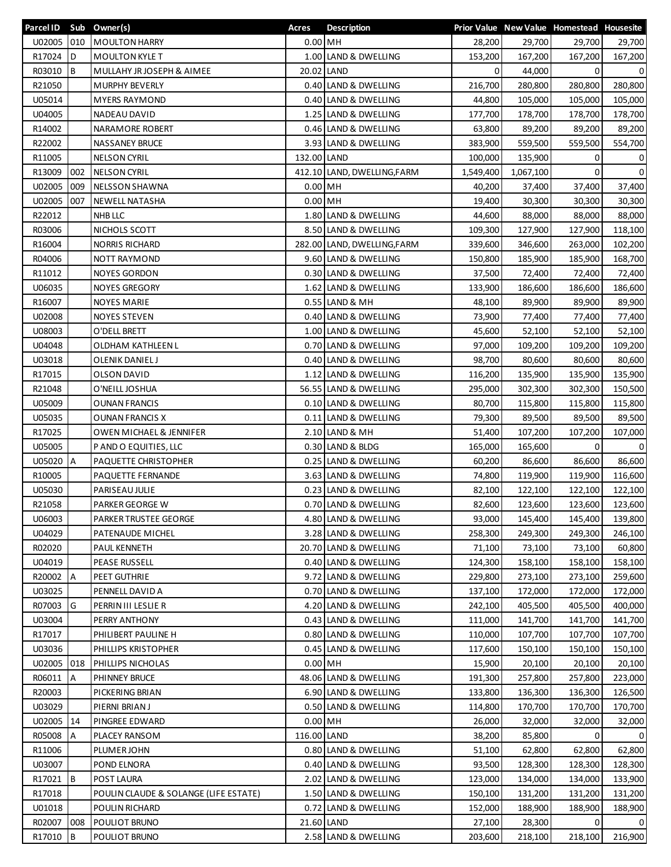| Parcel ID Sub Owner(s) |           |                                       | Acres       | <b>Description</b>          |           |           | Prior Value New Value Homestead Housesite |              |
|------------------------|-----------|---------------------------------------|-------------|-----------------------------|-----------|-----------|-------------------------------------------|--------------|
| U02005 010             |           | <b>MOULTON HARRY</b>                  | $0.00$ MH   |                             | 28,200    | 29,700    | 29,700                                    | 29,700       |
| R17024                 | <b>ID</b> | <b>MOULTON KYLE T</b>                 | 1.00        | LAND & DWELLING             | 153,200   | 167,200   | 167,200                                   | 167,200      |
| R03010                 | Iв        | MULLAHY JR JOSEPH & AIMEE             |             | 20.02 LAND                  | 0         | 44,000    | $\mathbf{0}$                              | $\mathsf{o}$ |
| R21050                 |           | MURPHY BEVERLY                        |             | 0.40 LAND & DWELLING        | 216,700   | 280,800   | 280,800                                   | 280,800      |
| U05014                 |           | <b>MYERS RAYMOND</b>                  |             | 0.40 LAND & DWELLING        | 44,800    | 105,000   | 105,000                                   | 105,000      |
| U04005                 |           | NADEAU DAVID                          |             | 1.25 LAND & DWELLING        | 177,700   | 178,700   | 178,700                                   | 178,700      |
| R14002                 |           | NARAMORE ROBERT                       |             | 0.46 LAND & DWELLING        | 63,800    | 89,200    | 89,200                                    | 89,200       |
| R22002                 |           | <b>NASSANEY BRUCE</b>                 |             | 3.93 LAND & DWELLING        | 383,900   | 559,500   | 559,500                                   | 554,700      |
| R11005                 |           | <b>NELSON CYRIL</b>                   | 132.00 LAND |                             | 100,000   | 135,900   | 0                                         | 0            |
| R13009                 | 002       | <b>NELSON CYRIL</b>                   |             | 412.10 LAND, DWELLING, FARM | 1,549,400 | 1,067,100 | $\Omega$                                  | $\mathbf 0$  |
| U02005                 | 009       | NELSSON SHAWNA                        | $0.00$ MH   |                             | 40,200    | 37,400    | 37,400                                    | 37,400       |
| U02005                 | 007       | NEWELL NATASHA                        | $0.00$ MH   |                             | 19,400    | 30,300    | 30,300                                    | 30,300       |
| R22012                 |           | NHB LLC                               |             | 1.80 LAND & DWELLING        | 44,600    | 88,000    | 88,000                                    | 88,000       |
| R03006                 |           | NICHOLS SCOTT                         |             | 8.50 LAND & DWELLING        | 109,300   | 127,900   | 127,900                                   | 118,100      |
| R16004                 |           | <b>NORRIS RICHARD</b>                 |             | 282.00 LAND, DWELLING, FARM | 339,600   | 346,600   | 263,000                                   | 102,200      |
| R04006                 |           | <b>NOTT RAYMOND</b>                   |             | 9.60 LAND & DWELLING        | 150,800   | 185,900   | 185,900                                   | 168,700      |
| R11012                 |           | <b>NOYES GORDON</b>                   |             | 0.30 LAND & DWELLING        | 37,500    | 72,400    | 72,400                                    | 72,400       |
| U06035                 |           | <b>NOYES GREGORY</b>                  |             | 1.62 LAND & DWELLING        | 133,900   | 186,600   | 186,600                                   | 186,600      |
| R16007                 |           | <b>NOYES MARIE</b>                    |             | 0.55 LAND & MH              | 48,100    | 89,900    | 89,900                                    | 89,900       |
| U02008                 |           | <b>NOYES STEVEN</b>                   |             | 0.40 LAND & DWELLING        | 73,900    | 77,400    | 77,400                                    | 77,400       |
| U08003                 |           | O'DELL BRETT                          |             | 1.00 LAND & DWELLING        | 45,600    | 52,100    | 52,100                                    | 52,100       |
| U04048                 |           | OLDHAM KATHLEEN L                     |             | 0.70 LAND & DWELLING        | 97,000    | 109,200   | 109,200                                   | 109,200      |
| U03018                 |           | OLENIK DANIEL J                       |             | 0.40 LAND & DWELLING        | 98,700    | 80,600    | 80,600                                    | 80,600       |
| R17015                 |           | OLSON DAVID                           | 1.12        | LAND & DWELLING             | 116,200   | 135,900   | 135,900                                   | 135,900      |
| R21048                 |           | O'NEILL JOSHUA                        |             | 56.55 LAND & DWELLING       | 295,000   | 302,300   | 302,300                                   | 150,500      |
| U05009                 |           | <b>OUNAN FRANCIS</b>                  |             | 0.10 LAND & DWELLING        | 80,700    | 115,800   | 115,800                                   | 115,800      |
| U05035                 |           | OUNAN FRANCIS X                       | 0.11        | LAND & DWELLING             | 79,300    | 89,500    | 89,500                                    | 89,500       |
| R17025                 |           | <b>OWEN MICHAEL &amp; JENNIFER</b>    |             | 2.10 LAND & MH              | 51,400    | 107,200   | 107,200                                   | 107,000      |
| U05005                 |           | P AND O EQUITIES, LLC                 |             | 0.30 LAND & BLDG            | 165,000   | 165,600   | $\Omega$                                  | $\mathbf{0}$ |
| U05020 A               |           | PAQUETTE CHRISTOPHER                  |             | 0.25 LAND & DWELLING        | 60,200    | 86,600    | 86,600                                    | 86,600       |
| R10005                 |           | PAQUETTE FERNANDE                     |             | 3.63 LAND & DWELLING        | 74,800    | 119,900   | 119,900                                   | 116,600      |
| U05030                 |           | PARISEAU JULIE                        |             | 0.23 LAND & DWELLING        | 82,100    | 122,100   | 122,100                                   | 122,100      |
| R21058                 |           | PARKER GEORGE W                       |             | 0.70 LAND & DWELLING        | 82,600    | 123,600   | 123,600                                   | 123,600      |
| U06003                 |           | <b>PARKER TRUSTEE GEORGE</b>          |             | 4.80 LAND & DWELLING        | 93,000    | 145,400   | 145,400                                   | 139,800      |
| U04029                 |           | PATENAUDE MICHEL                      |             | 3.28 LAND & DWELLING        | 258,300   | 249,300   | 249,300                                   | 246,100      |
| R02020                 |           | PAUL KENNETH                          |             | 20.70 LAND & DWELLING       | 71,100    | 73,100    | 73,100                                    | 60,800       |
| U04019                 |           | PEASE RUSSELL                         |             | 0.40 LAND & DWELLING        | 124,300   | 158,100   | 158,100                                   | 158,100      |
| R20002                 | A         | PEET GUTHRIE                          |             | 9.72 LAND & DWELLING        | 229,800   | 273,100   | 273,100                                   | 259,600      |
| U03025                 |           | PENNELL DAVID A                       |             | 0.70 LAND & DWELLING        | 137,100   | 172,000   | 172,000                                   | 172,000      |
| R07003                 | G         | PERRIN III LESLIE R                   |             | 4.20 LAND & DWELLING        | 242,100   | 405,500   | 405,500                                   | 400,000      |
| U03004                 |           | PERRY ANTHONY                         |             | 0.43 LAND & DWELLING        | 111,000   | 141,700   | 141,700                                   | 141,700      |
| R17017                 |           | PHILIBERT PAULINE H                   |             | 0.80 LAND & DWELLING        | 110,000   | 107,700   | 107,700                                   | 107,700      |
| U03036                 |           | PHILLIPS KRISTOPHER                   |             | 0.45 LAND & DWELLING        | 117,600   | 150,100   | 150,100                                   | 150,100      |
| U02005                 | 018       | PHILLIPS NICHOLAS                     | $0.00$ MH   |                             | 15,900    | 20,100    | 20,100                                    | 20,100       |
| R06011                 | A         | PHINNEY BRUCE                         |             | 48.06 LAND & DWELLING       | 191,300   | 257,800   | 257,800                                   | 223,000      |
| R20003                 |           | PICKERING BRIAN                       |             | 6.90 LAND & DWELLING        | 133,800   | 136,300   | 136,300                                   | 126,500      |
| U03029                 |           | PIERNI BRIAN J                        | 0.50        | LAND & DWELLING             | 114,800   | 170,700   | 170,700                                   | 170,700      |
| U02005                 | 14        | PINGREE EDWARD                        | $0.00$ MH   |                             | 26,000    | 32,000    | 32,000                                    | 32,000       |
| R05008                 | A         | PLACEY RANSOM                         | 116.00 LAND |                             | 38,200    | 85,800    | 0                                         | 0            |
| R11006                 |           | PLUMER JOHN                           |             | 0.80 LAND & DWELLING        | 51,100    | 62,800    | 62,800                                    | 62,800       |
| U03007                 |           | POND ELNORA                           |             | 0.40 LAND & DWELLING        | 93,500    | 128,300   | 128,300                                   | 128,300      |
| R17021                 | <b>IB</b> | POST LAURA                            |             | 2.02 LAND & DWELLING        | 123,000   | 134,000   | 134,000                                   | 133,900      |
| R17018                 |           | POULIN CLAUDE & SOLANGE (LIFE ESTATE) |             | 1.50 LAND & DWELLING        | 150,100   | 131,200   | 131,200                                   | 131,200      |
| U01018                 |           | POULIN RICHARD                        | 0.72        | LAND & DWELLING             | 152,000   | 188,900   | 188,900                                   | 188,900      |
| R02007                 | 008       | POULIOT BRUNO                         |             | 21.60 LAND                  | 27,100    | 28,300    | $\Omega$                                  | 0            |
| R17010                 | <b>B</b>  | POULIOT BRUNO                         |             | 2.58 LAND & DWELLING        | 203,600   | 218,100   | 218,100                                   | 216,900      |
|                        |           |                                       |             |                             |           |           |                                           |              |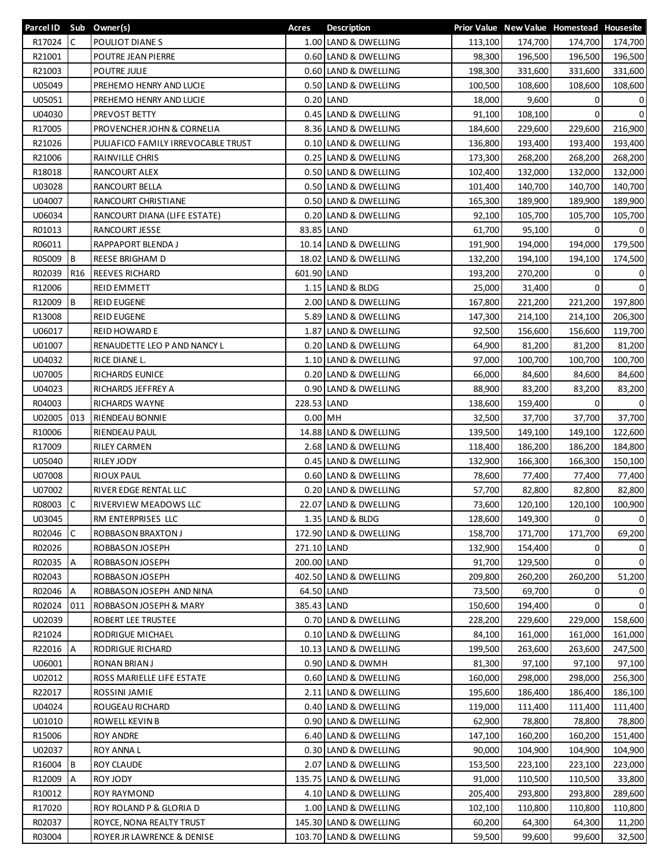| Parcel ID Sub Owner(s) |                 |                                    | Acres       | <b>Description</b>                            |                    |                    | Prior Value New Value Homestead Housesite |                |
|------------------------|-----------------|------------------------------------|-------------|-----------------------------------------------|--------------------|--------------------|-------------------------------------------|----------------|
| R17024                 | <b>IC</b>       | POULIOT DIANES                     |             | 1.00 LAND & DWELLING                          | 113,100            | 174,700            | 174,700                                   | 174,700        |
| R21001                 |                 | POUTRE JEAN PIERRE                 |             | 0.60 LAND & DWELLING                          | 98,300             | 196,500            | 196,500                                   | 196,500        |
| R21003                 |                 | POUTRE JULIE                       |             | 0.60 LAND & DWELLING                          | 198,300            | 331,600            | 331,600                                   | 331,600        |
| U05049                 |                 | PREHEMO HENRY AND LUCIE            | 0.50        | LAND & DWELLING                               | 100,500            | 108,600            | 108,600                                   | 108,600        |
| U05051                 |                 | PREHEMO HENRY AND LUCIE            |             | $0.20$ LAND                                   | 18,000             | 9,600              | 0                                         | 0              |
| U04030                 |                 | PREVOST BETTY                      |             | 0.45 LAND & DWELLING                          | 91,100             | 108,100            | 0                                         | $\mathbf 0$    |
| R17005                 |                 | PROVENCHER JOHN & CORNELIA         |             | 8.36 LAND & DWELLING                          | 184,600            | 229,600            | 229,600                                   | 216,900        |
| R21026                 |                 | PULIAFICO FAMILY IRREVOCABLE TRUST |             | 0.10 LAND & DWELLING                          | 136,800            | 193,400            | 193,400                                   | 193,400        |
| R21006                 |                 | RAINVILLE CHRIS                    | 0.25        | LAND & DWELLING                               | 173,300            | 268,200            | 268,200                                   | 268,200        |
| R18018                 |                 | RANCOURT ALEX                      |             | 0.50 LAND & DWELLING                          | 102,400            | 132,000            | 132,000                                   | 132,000        |
| U03028                 |                 | RANCOURT BELLA                     |             | 0.50 LAND & DWELLING                          | 101,400            | 140,700            | 140,700                                   | 140,700        |
| U04007                 |                 | RANCOURT CHRISTIANE                |             | 0.50 LAND & DWELLING                          | 165,300            | 189,900            | 189,900                                   | 189,900        |
| U06034                 |                 | RANCOURT DIANA (LIFE ESTATE)       | 0.20        | LAND & DWELLING                               | 92,100             | 105,700            | 105,700                                   | 105,700        |
| R01013                 |                 | RANCOURT JESSE                     | 83.85       | LAND                                          | 61,700             | 95,100             | $\Omega$                                  | $\mathbf{0}$   |
| R06011                 |                 | RAPPAPORT BLENDA J                 |             | 10.14 LAND & DWELLING                         | 191,900            | 194,000            | 194,000                                   | 179,500        |
| R05009                 | Iв              | <b>REESE BRIGHAM D</b>             |             | 18.02 LAND & DWELLING                         | 132,200            | 194,100            | 194,100                                   | 174,500        |
| R02039                 | R <sub>16</sub> | <b>REEVES RICHARD</b>              | 601.90 LAND |                                               | 193,200            | 270,200            | 0                                         | 0              |
| R12006                 |                 | <b>REID EMMETT</b>                 |             | 1.15 LAND & BLDG                              | 25,000             | 31,400             | $\mathbf{0}$                              | $\mathbf 0$    |
| R12009                 | Iв              | <b>REID EUGENE</b>                 |             | 2.00 LAND & DWELLING                          | 167,800            | 221,200            | 221,200                                   | 197,800        |
| R13008                 |                 | <b>REID EUGENE</b>                 |             | 5.89 LAND & DWELLING                          | 147,300            | 214,100            | 214,100                                   | 206,300        |
| U06017                 |                 | <b>REID HOWARD E</b>               |             | 1.87 LAND & DWELLING                          | 92,500             | 156,600            | 156,600                                   | 119,700        |
| U01007                 |                 | RENAUDETTE LEO P AND NANCY L       | 0.20        | LAND & DWELLING                               | 64,900             | 81,200             | 81,200                                    | 81,200         |
| U04032                 |                 | RICE DIANE L.                      |             | 1.10 LAND & DWELLING                          | 97,000             | 100,700            | 100,700                                   | 100,700        |
| U07005                 |                 | RICHARDS EUNICE                    |             | 0.20 LAND & DWELLING                          | 66,000             | 84,600             | 84,600                                    | 84,600         |
| U04023                 |                 | RICHARDS JEFFREY A                 |             | 0.90 LAND & DWELLING                          | 88,900             | 83,200             | 83,200                                    | 83,200         |
| R04003                 |                 | RICHARDS WAYNE                     | 228.53 LAND |                                               | 138,600            | 159,400            | 0                                         | 0              |
| U02005                 | 013             | RIENDEAU BONNIE                    | $0.00$ MH   |                                               | 32,500             | 37,700             | 37,700                                    | 37,700         |
|                        |                 |                                    |             |                                               |                    |                    |                                           |                |
| R10006<br>R17009       |                 | RIENDEAU PAUL                      |             | 14.88 LAND & DWELLING<br>2.68 LAND & DWELLING | 139,500            | 149,100            | 149,100                                   | 122,600        |
| U05040                 |                 | <b>RILEY CARMEN</b><br>RILEY JODY  |             | 0.45 LAND & DWELLING                          | 118,400<br>132,900 | 186,200<br>166,300 | 186,200<br>166,300                        | 184,800        |
| U07008                 |                 |                                    |             |                                               | 78,600             |                    |                                           | 150,100        |
|                        |                 | <b>RIOUX PAUL</b>                  |             | 0.60 LAND & DWELLING                          |                    | 77,400             | 77,400                                    | 77,400         |
| U07002                 |                 | RIVER EDGE RENTAL LLC              | 0.20        | LAND & DWELLING                               | 57,700             | 82,800             | 82,800                                    | 82,800         |
| R08003                 | C               | RIVERVIEW MEADOWS LLC              |             | 22.07 LAND & DWELLING                         | 73,600             | 120,100            | 120,100                                   | 100,900        |
| U03045                 |                 | RM ENTERPRISES LLC                 |             | 1.35 LAND & BLDG                              | 128,600            | 149,300            | 01                                        | $\overline{0}$ |
| R02046                 | C               | ROBBASON BRAXTON J                 |             | 172.90 LAND & DWELLING                        | 158,700            | 171,700            | 171,700                                   | 69,200         |
| R02026                 |                 | ROBBASON JOSEPH                    | 271.10 LAND |                                               | 132,900            | 154,400            | 0                                         | 0              |
| R02035                 | <b>A</b>        | ROBBASON JOSEPH                    | 200.00 LAND |                                               | 91,700             | 129,500            | 0                                         | 0              |
| R02043                 |                 | ROBBASON JOSEPH                    |             | 402.50 LAND & DWELLING                        | 209,800            | 260,200            | 260,200                                   | 51,200         |
| R02046                 | Α               | ROBBASON JOSEPH AND NINA           | 64.50 LAND  |                                               | 73,500             | 69,700             | 0                                         | 0              |
| R02024                 | 011             | ROBBASON JOSEPH & MARY             | 385.43 LAND |                                               | 150,600            | 194,400            | $\Omega$                                  | $\mathbf{0}$   |
| U02039                 |                 | ROBERT LEE TRUSTEE                 |             | 0.70 LAND & DWELLING                          | 228,200            | 229,600            | 229,000                                   | 158,600        |
| R21024                 |                 | RODRIGUE MICHAEL                   |             | 0.10 LAND & DWELLING                          | 84,100             | 161,000            | 161,000                                   | 161,000        |
| R22016                 | A               | RODRIGUE RICHARD                   |             | 10.13 LAND & DWELLING                         | 199,500            | 263,600            | 263,600                                   | 247,500        |
| U06001                 |                 | <b>RONAN BRIAN J</b>               |             | 0.90 LAND & DWMH                              | 81,300             | 97,100             | 97,100                                    | 97,100         |
| U02012                 |                 | ROSS MARIELLE LIFE ESTATE          |             | 0.60 LAND & DWELLING                          | 160,000            | 298,000            | 298,000                                   | 256,300        |
| R22017                 |                 | ROSSINI JAMIE                      |             | 2.11 LAND & DWELLING                          | 195,600            | 186,400            | 186,400                                   | 186,100        |
| U04024                 |                 | ROUGEAU RICHARD                    |             | 0.40 LAND & DWELLING                          | 119,000            | 111,400            | 111,400                                   | 111,400        |
| U01010                 |                 | ROWELL KEVIN B                     |             | 0.90 LAND & DWELLING                          | 62,900             | 78,800             | 78,800                                    | 78,800         |
| R15006                 |                 | <b>ROY ANDRE</b>                   |             | 6.40 LAND & DWELLING                          | 147,100            | 160,200            | 160,200                                   | 151,400        |
| U02037                 |                 | <b>ROY ANNA L</b>                  |             | 0.30 LAND & DWELLING                          | 90,000             | 104,900            | 104,900                                   | 104,900        |
| R16004                 | IВ              | <b>ROY CLAUDE</b>                  |             | 2.07 LAND & DWELLING                          | 153,500            | 223,100            | 223,100                                   | 223,000        |
| R12009                 | A               | ROY JODY                           |             | 135.75 LAND & DWELLING                        | 91,000             | 110,500            | 110,500                                   | 33,800         |
| R10012                 |                 | <b>ROY RAYMOND</b>                 |             | 4.10 LAND & DWELLING                          | 205,400            | 293,800            | 293,800                                   | 289,600        |
| R17020                 |                 | ROY ROLAND P & GLORIA D            |             | 1.00 LAND & DWELLING                          | 102,100            | 110,800            | 110,800                                   | 110,800        |
| R02037                 |                 | ROYCE, NONA REALTY TRUST           |             | 145.30 LAND & DWELLING                        | 60,200             | 64,300             | 64,300                                    | 11,200         |
| R03004                 |                 | ROYER JR LAWRENCE & DENISE         |             | 103.70 LAND & DWELLING                        | 59,500             | 99,600             | 99,600                                    | 32,500         |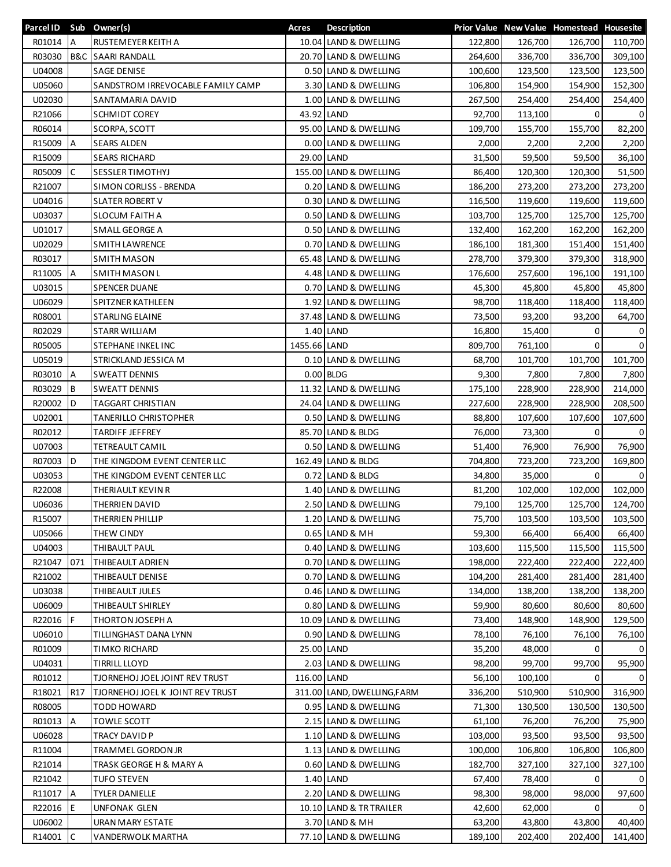| Parcel ID Sub Owner(s) |                 |                                   | Acres        | <b>Description</b>          |         |         | Prior Value New Value Homestead Housesite |                |
|------------------------|-----------------|-----------------------------------|--------------|-----------------------------|---------|---------|-------------------------------------------|----------------|
| R01014 A               |                 | RUSTEMEYER KEITH A                |              | 10.04 LAND & DWELLING       | 122,800 | 126,700 | 126,700                                   | 110,700        |
| R03030                 | B&C             | <b>SAARI RANDALL</b>              |              | 20.70 LAND & DWELLING       | 264,600 | 336,700 | 336,700                                   | 309,100        |
| U04008                 |                 | <b>SAGE DENISE</b>                |              | 0.50 LAND & DWELLING        | 100,600 | 123,500 | 123,500                                   | 123,500        |
| U05060                 |                 | SANDSTROM IRREVOCABLE FAMILY CAMP |              | 3.30 LAND & DWELLING        | 106,800 | 154,900 | 154,900                                   | 152,300        |
| U02030                 |                 | SANTAMARIA DAVID                  |              | 1.00 LAND & DWELLING        | 267,500 | 254,400 | 254,400                                   | 254,400        |
| R21066                 |                 | <b>SCHMIDT COREY</b>              |              | 43.92 LAND                  | 92,700  | 113,100 | 0                                         | 0              |
| R06014                 |                 | SCORPA, SCOTT                     |              | 95.00 LAND & DWELLING       | 109,700 | 155,700 | 155,700                                   | 82,200         |
| R15009                 | $\overline{A}$  | <b>SEARS ALDEN</b>                |              | 0.00 LAND & DWELLING        | 2,000   | 2,200   | 2,200                                     | 2,200          |
| R15009                 |                 | <b>SEARS RICHARD</b>              |              | 29.00 LAND                  | 31,500  | 59,500  | 59,500                                    | 36,100         |
| R05009                 | $\mathsf{C}$    | <b>SESSLER TIMOTHYJ</b>           |              | 155.00 LAND & DWELLING      | 86,400  | 120,300 | 120,300                                   | 51,500         |
| R21007                 |                 | SIMON CORLISS - BRENDA            |              | 0.20 LAND & DWELLING        | 186,200 | 273,200 | 273,200                                   | 273,200        |
| U04016                 |                 | <b>SLATER ROBERT V</b>            |              | 0.30 LAND & DWELLING        | 116,500 | 119,600 | 119,600                                   | 119,600        |
| U03037                 |                 | <b>SLOCUM FAITH A</b>             |              | 0.50 LAND & DWELLING        | 103,700 | 125,700 | 125,700                                   | 125,700        |
| U01017                 |                 | SMALL GEORGE A                    |              | 0.50 LAND & DWELLING        | 132,400 | 162,200 | 162,200                                   | 162,200        |
| U02029                 |                 | <b>SMITH LAWRENCE</b>             |              | 0.70 LAND & DWELLING        | 186,100 | 181,300 | 151,400                                   | 151,400        |
| R03017                 |                 | <b>SMITH MASON</b>                |              | 65.48 LAND & DWELLING       | 278,700 | 379,300 |                                           |                |
|                        |                 |                                   |              | 4.48 LAND & DWELLING        |         |         | 379,300                                   | 318,900        |
| R11005                 | <b>JA</b>       | <b>SMITH MASON L</b>              |              |                             | 176,600 | 257,600 | 196,100                                   | 191,100        |
| U03015                 |                 | <b>SPENCER DUANE</b>              |              | 0.70 LAND & DWELLING        | 45,300  | 45,800  | 45,800                                    | 45,800         |
| U06029                 |                 | <b>SPITZNER KATHLEEN</b>          |              | 1.92 LAND & DWELLING        | 98,700  | 118,400 | 118,400                                   | 118,400        |
| R08001                 |                 | STARLING ELAINE                   |              | 37.48 LAND & DWELLING       | 73,500  | 93,200  | 93,200                                    | 64,700         |
| R02029                 |                 | <b>STARR WILLIAM</b>              |              | 1.40 LAND                   | 16,800  | 15,400  | 0                                         | 0              |
| R05005                 |                 | STEPHANE INKEL INC                | 1455.66 LAND |                             | 809,700 | 761,100 | 0                                         | 0              |
| U05019                 |                 | STRICKLAND JESSICA M              |              | 0.10 LAND & DWELLING        | 68,700  | 101,700 | 101,700                                   | 101,700        |
| R03010                 | <b>A</b>        | <b>SWEATT DENNIS</b>              |              | $0.00$ BLDG                 | 9,300   | 7,800   | 7,800                                     | 7,800          |
| R03029                 | <b>B</b>        | <b>SWEATT DENNIS</b>              |              | 11.32 LAND & DWELLING       | 175,100 | 228,900 | 228,900                                   | 214,000        |
| R20002                 | ID.             | TAGGART CHRISTIAN                 |              | 24.04 LAND & DWELLING       | 227,600 | 228,900 | 228,900                                   | 208,500        |
| U02001                 |                 | TANERILLO CHRISTOPHER             |              | 0.50 LAND & DWELLING        | 88,800  | 107,600 | 107,600                                   | 107,600        |
| R02012                 |                 | <b>TARDIFF JEFFREY</b>            |              | 85.70 LAND & BLDG           | 76,000  | 73,300  | $\mathbf{0}$                              | $\overline{0}$ |
| U07003                 |                 | <b>TETREAULT CAMIL</b>            |              | 0.50 LAND & DWELLING        | 51,400  | 76,900  | 76,900                                    | 76,900         |
| R07003                 | ID.             | THE KINGDOM EVENT CENTER LLC      |              | 162.49 LAND & BLDG          | 704,800 | 723,200 | 723,200                                   | 169,800        |
| U03053                 |                 | THE KINGDOM EVENT CENTER LLC      |              | 0.72 LAND & BLDG            | 34,800  | 35,000  | $\Omega$                                  | 0              |
| R22008                 |                 | THERIAULT KEVIN R                 |              | 1.40 LAND & DWELLING        | 81,200  | 102,000 | 102,000                                   | 102,000        |
| U06036                 |                 | THERRIEN DAVID                    |              | 2.50 LAND & DWELLING        | 79,100  | 125,700 | 125,700                                   | 124,700        |
| R15007                 |                 | THERRIEN PHILLIP                  |              | 1.20 LAND & DWELLING        | 75,700  | 103,500 | 103,500                                   | 103,500        |
| U05066                 |                 | THEW CINDY                        |              | 0.65 LAND & MH              | 59,300  | 66,400  | 66,400                                    | 66,400         |
| U04003                 |                 | THIBAULT PAUL                     |              | 0.40 LAND & DWELLING        | 103,600 | 115,500 | 115,500                                   | 115,500        |
| R21047                 | 071             | THIBEAULT ADRIEN                  |              | 0.70 LAND & DWELLING        | 198,000 | 222,400 | 222,400                                   | 222,400        |
| R21002                 |                 | THIBEAULT DENISE                  |              | 0.70 LAND & DWELLING        | 104,200 | 281,400 | 281,400                                   | 281,400        |
| U03038                 |                 | THIBEAULT JULES                   |              | 0.46 LAND & DWELLING        | 134,000 | 138,200 | 138,200                                   | 138,200        |
| U06009                 |                 | THIBEAULT SHIRLEY                 |              | 0.80 LAND & DWELLING        | 59,900  | 80,600  | 80,600                                    | 80,600         |
| R22016                 | IF.             | THORTON JOSEPH A                  |              | 10.09 LAND & DWELLING       | 73,400  | 148,900 | 148,900                                   | 129,500        |
| U06010                 |                 | TILLINGHAST DANA LYNN             |              | 0.90 LAND & DWELLING        | 78,100  | 76,100  | 76,100                                    | 76,100         |
| R01009                 |                 | TIMKO RICHARD                     |              | 25.00 LAND                  | 35,200  | 48,000  | 0                                         | $\overline{0}$ |
| U04031                 |                 | <b>TIRRILL LLOYD</b>              |              | 2.03 LAND & DWELLING        | 98,200  | 99,700  | 99,700                                    | 95,900         |
| R01012                 |                 | TJORNEHOJ JOEL JOINT REV TRUST    | 116.00 LAND  |                             | 56,100  | 100,100 | $\Omega$                                  | $\Omega$       |
| R18021                 | R <sub>17</sub> | TJORNEHOJ JOEL K JOINT REV TRUST  |              | 311.00 LAND, DWELLING, FARM | 336,200 | 510,900 | 510,900                                   | 316,900        |
|                        |                 |                                   |              |                             |         |         |                                           |                |
| R08005                 |                 | TODD HOWARD                       |              | 0.95 LAND & DWELLING        | 71,300  | 130,500 | 130,500                                   | 130,500        |
| R01013                 | А               | <b>TOWLE SCOTT</b>                |              | 2.15 LAND & DWELLING        | 61,100  | 76,200  | 76,200                                    | 75,900         |
| U06028                 |                 | TRACY DAVID P                     |              | 1.10 LAND & DWELLING        | 103,000 | 93,500  | 93,500                                    | 93,500         |
| R11004                 |                 | TRAMMEL GORDON JR                 |              | 1.13 LAND & DWELLING        | 100,000 | 106,800 | 106,800                                   | 106,800        |
| R21014                 |                 | TRASK GEORGE H & MARY A           |              | 0.60 LAND & DWELLING        | 182,700 | 327,100 | 327,100                                   | 327,100        |
| R21042                 |                 | <b>TUFO STEVEN</b>                |              | 1.40 LAND                   | 67,400  | 78,400  | 0                                         | $\mathbf{0}$   |
| R11017                 | $\overline{A}$  | <b>TYLER DANIELLE</b>             |              | 2.20 LAND & DWELLING        | 98,300  | 98,000  | 98,000                                    | 97,600         |
| R22016                 | l E             | <b>UNFONAK GLEN</b>               |              | 10.10 LAND & TR TRAILER     | 42,600  | 62,000  | 0                                         | $\Omega$       |
| U06002                 |                 | URAN MARY ESTATE                  |              | 3.70 LAND & MH              | 63,200  | 43,800  | 43,800                                    | 40,400         |
| R14001                 | C               | VANDERWOLK MARTHA                 |              | 77.10 LAND & DWELLING       | 189,100 | 202,400 | 202,400                                   | 141,400        |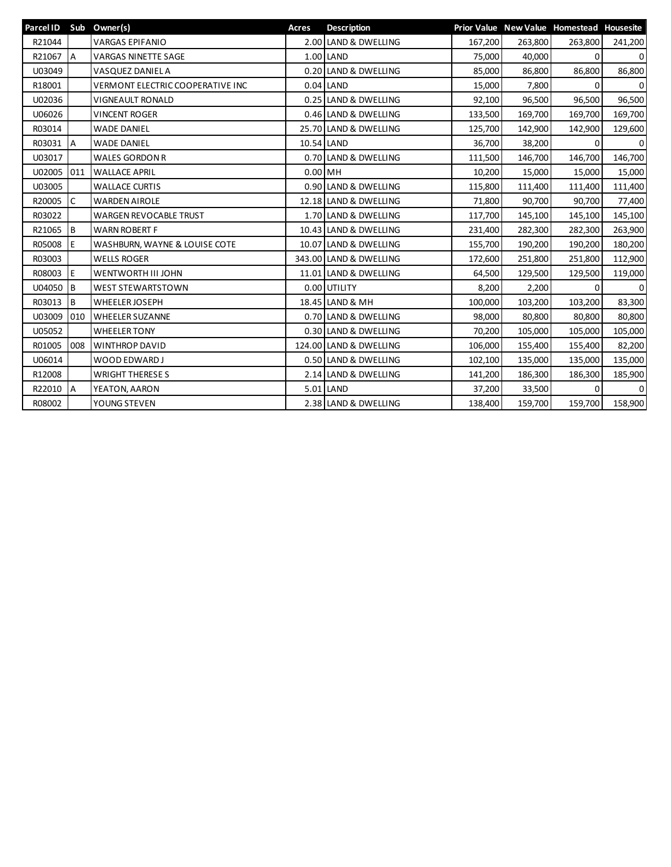| Parcel ID Sub Owner(s) |          |                                         | Acres                | <b>Description</b>     |         |         | Prior Value New Value Homestead Housesite |             |
|------------------------|----------|-----------------------------------------|----------------------|------------------------|---------|---------|-------------------------------------------|-------------|
| R21044                 |          | <b>VARGAS EPIFANIO</b>                  |                      | 2.00 LAND & DWELLING   | 167,200 | 263,800 | 263,800                                   | 241,200     |
| R21067                 | IА       | <b>VARGAS NINETTE SAGE</b>              |                      | 1.00 LAND              | 75,000  | 40,000  | 0                                         | $\mathbf 0$ |
| U03049                 |          | VASQUEZ DANIEL A                        |                      | 0.20 LAND & DWELLING   | 85,000  | 86,800  | 86,800                                    | 86,800      |
| R18001                 |          | <b>VERMONT ELECTRIC COOPERATIVE INC</b> |                      | $0.04$ LAND            | 15,000  | 7,800   | 0                                         | $\mathbf 0$ |
| U02036                 |          | <b>VIGNEAULT RONALD</b>                 | 0.25 LAND & DWELLING |                        | 92,100  | 96,500  | 96,500                                    | 96,500      |
| U06026                 |          | <b>VINCENT ROGER</b>                    |                      | 0.46 LAND & DWELLING   | 133,500 |         | 169,700<br>169,700                        | 169,700     |
| R03014                 |          | <b>WADE DANIEL</b>                      |                      | 25.70 LAND & DWELLING  | 125,700 | 142,900 | 142,900                                   | 129,600     |
| R03031 A               |          | <b>WADE DANIEL</b>                      |                      | 10.54 LAND             | 36,700  | 38,200  | $\Omega$                                  | $\mathbf 0$ |
| U03017                 |          | <b>WALES GORDON R</b>                   |                      | 0.70 LAND & DWELLING   | 111,500 | 146,700 | 146,700                                   | 146,700     |
| U02005 011             |          | <b>WALLACE APRIL</b>                    |                      | $0.00$ MH              | 10,200  | 15,000  | 15,000                                    | 15,000      |
| U03005                 |          | <b>WALLACE CURTIS</b>                   |                      | 0.90 LAND & DWELLING   | 115,800 | 111,400 | 111,400                                   | 111,400     |
| R20005                 | C        | <b>WARDEN AIROLE</b>                    |                      | 12.18 LAND & DWELLING  | 71,800  | 90,700  | 90,700                                    | 77,400      |
| R03022                 |          | <b>WARGEN REVOCABLE TRUST</b>           |                      | 1.70 LAND & DWELLING   | 117,700 | 145,100 | 145,100                                   | 145,100     |
| R21065                 | Iв       | <b>WARN ROBERT F</b>                    |                      | 10.43 LAND & DWELLING  | 231,400 | 282,300 | 282,300                                   | 263,900     |
| R05008                 | E        | WASHBURN, WAYNE & LOUISE COTE           |                      | 10.07 LAND & DWELLING  | 155,700 | 190,200 | 190,200                                   | 180,200     |
| R03003                 |          | <b>WELLS ROGER</b>                      |                      | 343.00 LAND & DWELLING | 172,600 | 251,800 | 251,800                                   | 112,900     |
| R08003                 | E        | WENTWORTH III JOHN                      |                      | 11.01 LAND & DWELLING  | 64,500  | 129,500 | 129,500                                   | 119,000     |
| U04050                 | Iв       | <b>WEST STEWARTSTOWN</b>                |                      | 0.00 UTILITY           | 8,200   | 2,200   | 0                                         | $\mathbf 0$ |
| R03013                 | <b>B</b> | WHEELER JOSEPH                          |                      | 18.45 LAND & MH        | 100,000 | 103,200 | 103,200                                   | 83,300      |
| U03009                 | 010      | <b>WHEELER SUZANNE</b>                  |                      | 0.70 LAND & DWELLING   | 98,000  | 80,800  | 80,800                                    | 80,800      |
| U05052                 |          | <b>WHEELER TONY</b>                     |                      | 0.30 LAND & DWELLING   | 70,200  | 105,000 | 105,000                                   | 105,000     |
| R01005                 | 008      | <b>WINTHROP DAVID</b>                   |                      | 124.00 LAND & DWELLING | 106,000 | 155,400 | 155,400                                   | 82,200      |
| U06014                 |          | WOOD EDWARD J                           |                      | 0.50 LAND & DWELLING   | 102,100 | 135,000 | 135,000                                   | 135,000     |
| R12008                 |          | <b>WRIGHT THERESES</b>                  |                      | 2.14 LAND & DWELLING   | 141,200 | 186,300 | 186,300                                   | 185,900     |
| R22010 A               |          | YEATON, AARON                           |                      | $5.01$ LAND            | 37,200  | 33,500  | 0                                         | $\mathbf 0$ |
| R08002                 |          | YOUNG STEVEN                            |                      | 2.38 LAND & DWELLING   | 138,400 | 159,700 | 159,700                                   | 158,900     |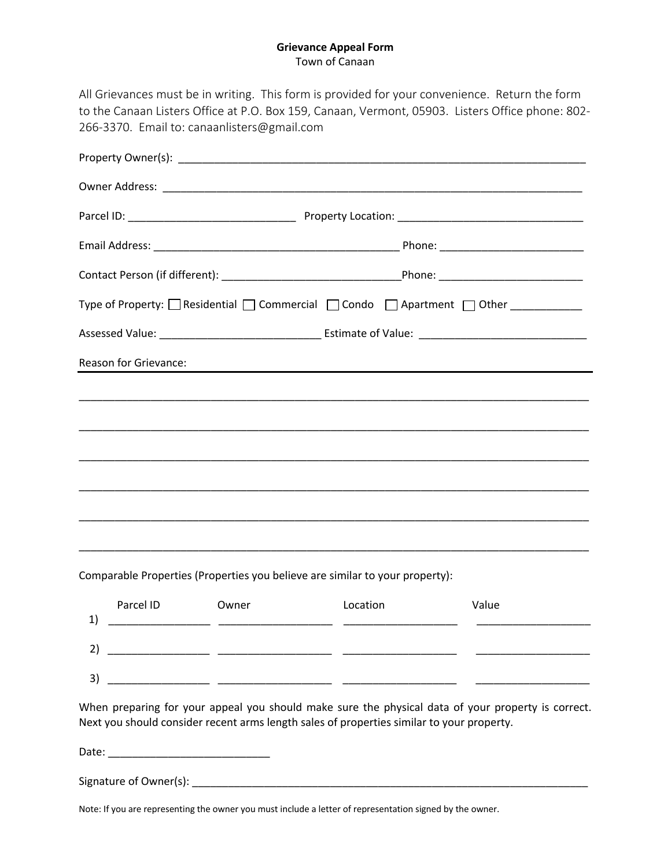#### **Grievance Appeal Form** Town of Canaan

|                       | Type of Property: □ Residential □ Commercial □ Condo □ Apartment □ Other ________ |
|-----------------------|-----------------------------------------------------------------------------------|
|                       |                                                                                   |
| Reason for Grievance: |                                                                                   |
|                       |                                                                                   |
|                       |                                                                                   |
|                       |                                                                                   |
|                       |                                                                                   |
|                       |                                                                                   |
|                       |                                                                                   |
|                       |                                                                                   |

|                   | Parcel ID | Owner | Location | Value |
|-------------------|-----------|-------|----------|-------|
| ▴                 |           |       |          |       |
| $\mathbf{r}$<br>J |           |       |          |       |

When preparing for your appeal you should make sure the physical data of your property is correct. Next you should consider recent arms length sales of properties similar to your property.

Date: \_\_\_\_\_\_\_\_\_\_\_\_\_\_\_\_\_\_\_\_\_\_\_\_\_\_\_

Signature of Owner(s): \_\_\_\_\_\_\_\_\_\_\_\_\_\_\_\_\_\_\_\_\_\_\_\_\_\_\_\_\_\_\_\_\_\_\_\_\_\_\_\_\_\_\_\_\_\_\_\_\_\_\_\_\_\_\_\_\_\_\_\_\_\_\_\_\_\_

Note: If you are representing the owner you must include a letter of representation signed by the owner.